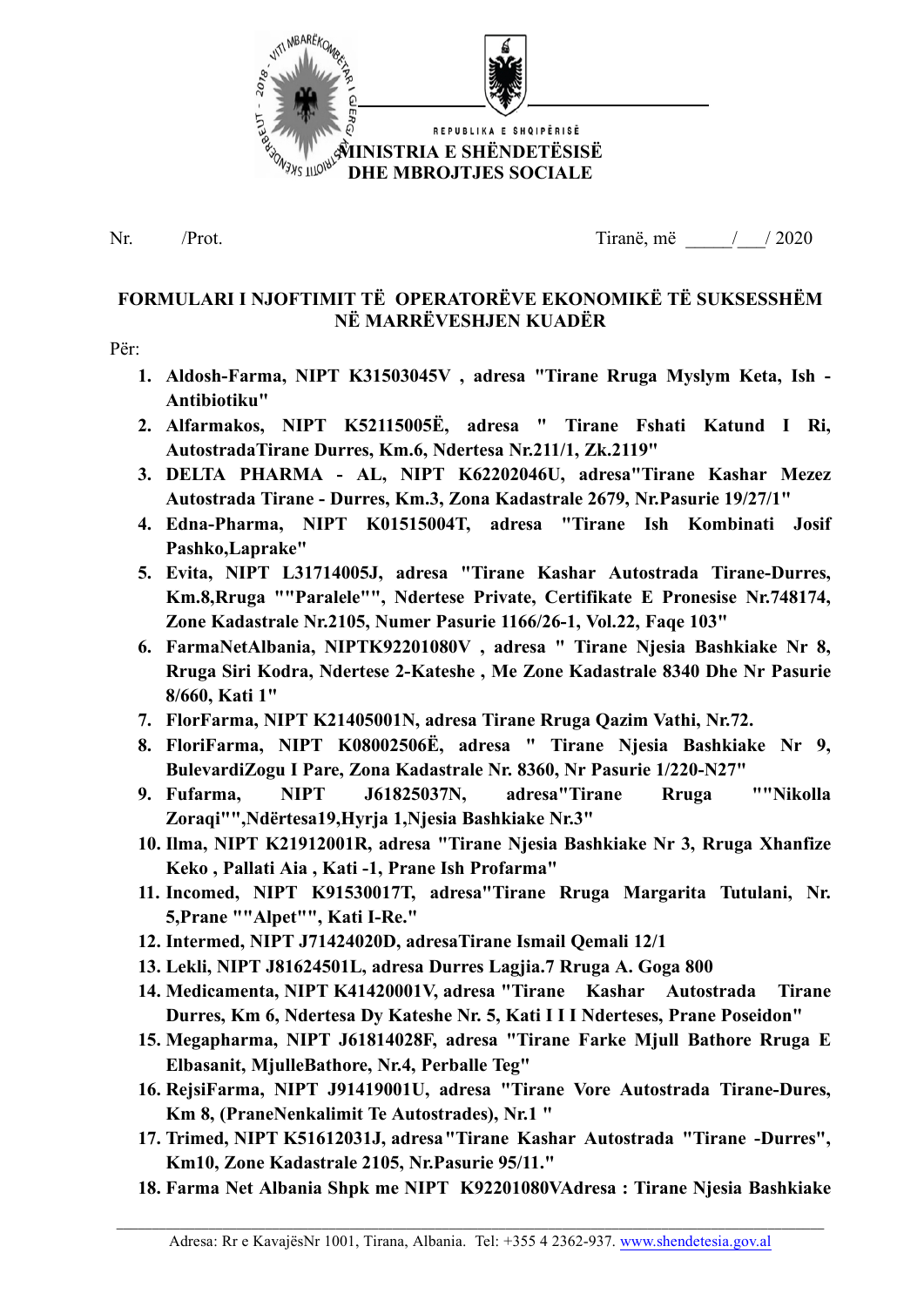

Nr. /Prot. 1997 / 1997 / 1997 / 1998 / 1998 / 1999 / 1999 / 1999 / 1999 / 1999 / 1999 / 1999 / 1999 / 1999 / 1

# **FORMULARI I NJOFTIMIT TË OPERATORËVE EKONOMIKË TË SUKSESSHËM NË MARRËVESHJEN KUADËR**

#### Për:

- **1. Aldosh-Farma, NIPT K31503045V , adresa "Tirane Rruga Myslym Keta, Ish - Antibiotiku"**
- **2. Alfarmakos, NIPT K52115005Ë, adresa " Tirane Fshati Katund I Ri, AutostradaTirane Durres, Km.6, Ndertesa Nr.211/1, Zk.2119"**
- **3. DELTA PHARMA - AL, NIPT K62202046U, adresa"Tirane Kashar Mezez Autostrada Tirane - Durres, Km.3, Zona Kadastrale 2679, Nr.Pasurie 19/27/1"**
- **4. Edna-Pharma, NIPT K01515004T, adresa "Tirane Ish Kombinati Josif Pashko,Laprake"**
- **5. Evita, NIPT L31714005J, adresa "Tirane Kashar Autostrada Tirane-Durres, Km.8,Rruga ""Paralele"", Ndertese Private, Certifikate E Pronesise Nr.748174, Zone Kadastrale Nr.2105, Numer Pasurie 1166/26-1, Vol.22, Faqe 103"**
- **6. FarmaNetAlbania, NIPTK92201080V , adresa " Tirane Njesia Bashkiake Nr 8, Rruga Siri Kodra, Ndertese 2-Kateshe , Me Zone Kadastrale 8340 Dhe Nr Pasurie 8/660, Kati 1"**
- **7. FlorFarma, NIPT K21405001N, adresa Tirane Rruga Qazim Vathi, Nr.72.**
- **8. FloriFarma, NIPT K08002506Ë, adresa " Tirane Njesia Bashkiake Nr 9, BulevardiZogu I Pare, Zona Kadastrale Nr. 8360, Nr Pasurie 1/220-N27"**
- **9. Fufarma, NIPT J61825037N, adresa"Tirane Rruga ""Nikolla Zoraqi"",Ndërtesa19,Hyrja 1,Njesia Bashkiake Nr.3"**
- **10. Ilma, NIPT K21912001R, adresa "Tirane Njesia Bashkiake Nr 3, Rruga Xhanfize Keko , Pallati Aia , Kati -1, Prane Ish Profarma"**
- **11. Incomed, NIPT K91530017T, adresa"Tirane Rruga Margarita Tutulani, Nr. 5,Prane ""Alpet"", Kati I-Re."**
- **12. Intermed, NIPT J71424020D, adresaTirane Ismail Qemali 12/1**
- **13. Lekli, NIPT J81624501L, adresa Durres Lagjia.7 Rruga A. Goga 800**
- **14. Medicamenta, NIPT K41420001V, adresa "Tirane Kashar Autostrada Tirane Durres, Km 6, Ndertesa Dy Kateshe Nr. 5, Kati I I I Nderteses, Prane Poseidon"**
- **15. Megapharma, NIPT J61814028F, adresa "Tirane Farke Mjull Bathore Rruga E Elbasanit, MjulleBathore, Nr.4, Perballe Teg"**
- **16. RejsiFarma, NIPT J91419001U, adresa "Tirane Vore Autostrada Tirane-Dures, Km 8, (PraneNenkalimit Te Autostrades), Nr.1 "**
- **17. Trimed, NIPT K51612031J, adresa"Tirane Kashar Autostrada "Tirane -Durres", Km10, Zone Kadastrale 2105, Nr.Pasurie 95/11."**
- **18. Farma Net Albania Shpk me NIPT K92201080VAdresa : Tirane Njesia Bashkiake**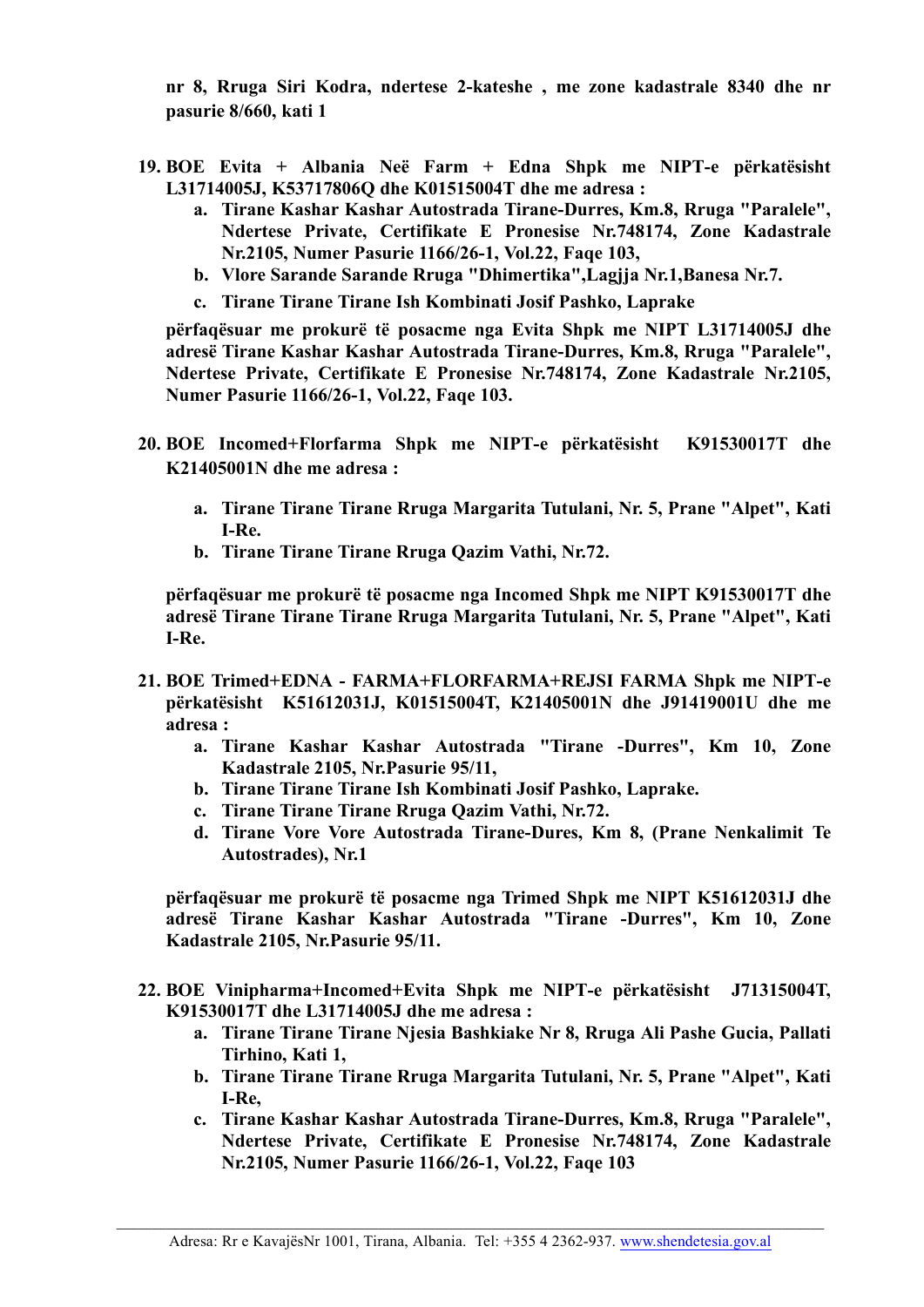**nr 8, Rruga Siri Kodra, ndertese 2-kateshe , me zone kadastrale 8340 dhe nr pasurie 8/660, kati 1**

- **19. BOE Evita + Albania Neë Farm + Edna Shpk me NIPT-e përkatësisht L31714005J, K53717806Q dhe K01515004T dhe me adresa :**
	- **a. Tirane Kashar Kashar Autostrada Tirane-Durres, Km.8, Rruga "Paralele", Ndertese Private, Certifikate E Pronesise Nr.748174, Zone Kadastrale Nr.2105, Numer Pasurie 1166/26-1, Vol.22, Faqe 103,**
	- **b. Vlore Sarande Sarande Rruga "Dhimertika",Lagjja Nr.1,Banesa Nr.7.**
	- **c. Tirane Tirane Tirane Ish Kombinati Josif Pashko, Laprake**

**përfaqësuar me prokurë të posacme nga Evita Shpk me NIPT L31714005J dhe adresë Tirane Kashar Kashar Autostrada Tirane-Durres, Km.8, Rruga "Paralele", Ndertese Private, Certifikate E Pronesise Nr.748174, Zone Kadastrale Nr.2105, Numer Pasurie 1166/26-1, Vol.22, Faqe 103.**

- **20. BOE Incomed+Florfarma Shpk me NIPT-e përkatësisht K91530017T dhe K21405001N dhe me adresa :**
	- **a. Tirane Tirane Tirane Rruga Margarita Tutulani, Nr. 5, Prane "Alpet", Kati I-Re.**
	- **b. Tirane Tirane Tirane Rruga Qazim Vathi, Nr.72.**

**përfaqësuar me prokurë të posacme nga Incomed Shpk me NIPT K91530017T dhe adresë Tirane Tirane Tirane Rruga Margarita Tutulani, Nr. 5, Prane "Alpet", Kati I-Re.**

- **21. BOE Trimed+EDNA - FARMA+FLORFARMA+REJSI FARMA Shpk me NIPT-e përkatësisht K51612031J, K01515004T, K21405001N dhe J91419001U dhe me adresa :**
	- **a. Tirane Kashar Kashar Autostrada "Tirane -Durres", Km 10, Zone Kadastrale 2105, Nr.Pasurie 95/11,**
	- **b. Tirane Tirane Tirane Ish Kombinati Josif Pashko, Laprake.**
	- **c. Tirane Tirane Tirane Rruga Qazim Vathi, Nr.72.**
	- **d. Tirane Vore Vore Autostrada Tirane-Dures, Km 8, (Prane Nenkalimit Te Autostrades), Nr.1**

**përfaqësuar me prokurë të posacme nga Trimed Shpk me NIPT K51612031J dhe adresë Tirane Kashar Kashar Autostrada "Tirane -Durres", Km 10, Zone Kadastrale 2105, Nr.Pasurie 95/11.**

- **22. BOE Vinipharma+Incomed+Evita Shpk me NIPT-e përkatësisht J71315004T, K91530017T dhe L31714005J dhe me adresa :**
	- **a. Tirane Tirane Tirane Njesia Bashkiake Nr 8, Rruga Ali Pashe Gucia, Pallati Tirhino, Kati 1,**
	- **b. Tirane Tirane Tirane Rruga Margarita Tutulani, Nr. 5, Prane "Alpet", Kati I-Re,**
	- **c. Tirane Kashar Kashar Autostrada Tirane-Durres, Km.8, Rruga "Paralele", Ndertese Private, Certifikate E Pronesise Nr.748174, Zone Kadastrale Nr.2105, Numer Pasurie 1166/26-1, Vol.22, Faqe 103**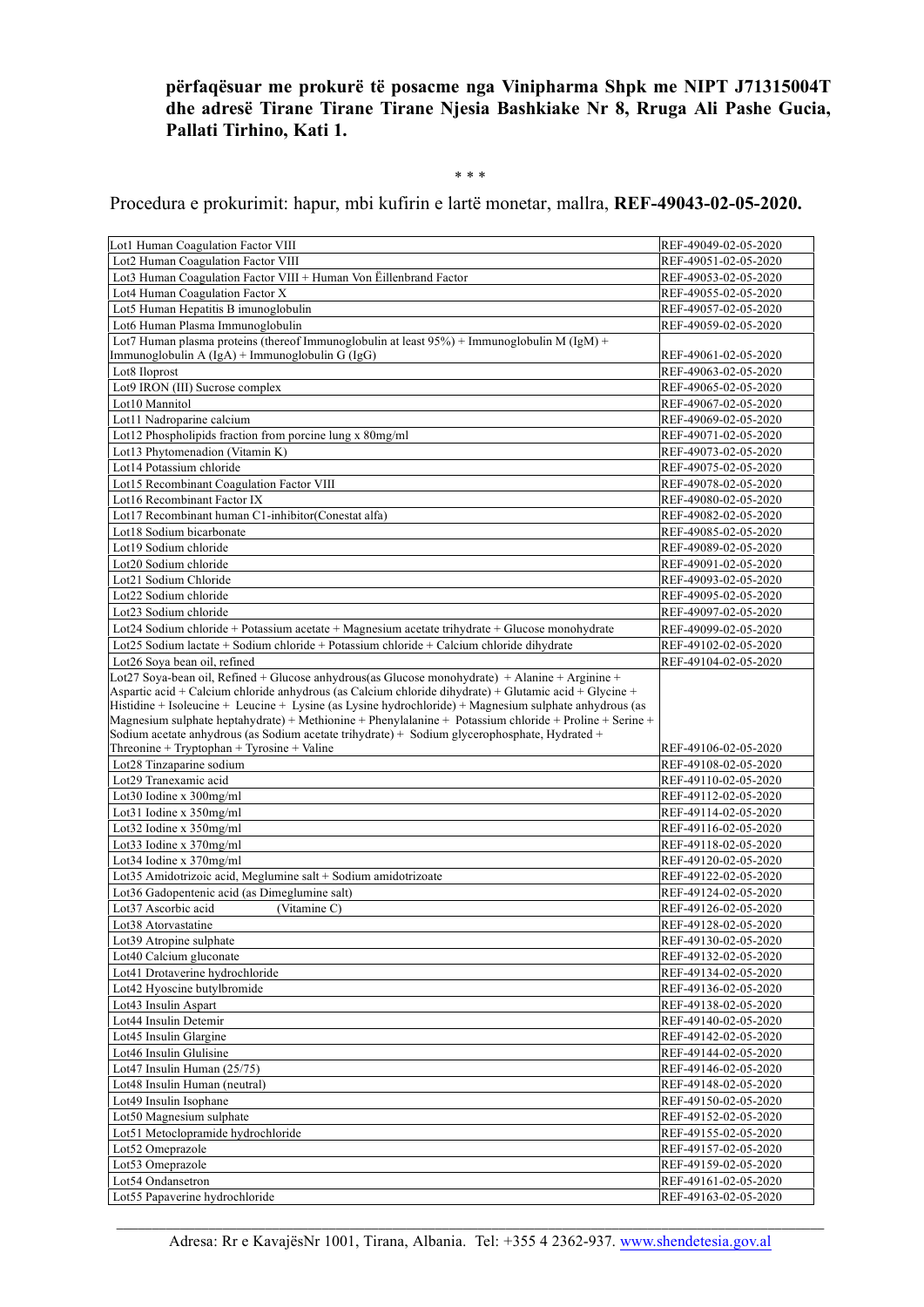**përfaqësuar me prokurë të posacme nga Vinipharma Shpk me NIPT J71315004T dhe adresë Tirane Tirane Tirane Njesia Bashkiake Nr 8, Rruga Ali Pashe Gucia, Pallati Tirhino, Kati 1.**

#### \* \* \*

Procedura e prokurimit: hapur, mbi kufirin e lartë monetar, mallra, **REF-49043-02-05-2020.**

| Lot1 Human Coagulation Factor VIII                                                                                                                                                                               | REF-49049-02-05-2020 |
|------------------------------------------------------------------------------------------------------------------------------------------------------------------------------------------------------------------|----------------------|
| Lot2 Human Coagulation Factor VIII                                                                                                                                                                               | REF-49051-02-05-2020 |
| Lot3 Human Coagulation Factor VIII + Human Von Eillenbrand Factor                                                                                                                                                | REF-49053-02-05-2020 |
| Lot4 Human Coagulation Factor X                                                                                                                                                                                  | REF-49055-02-05-2020 |
| Lot5 Human Hepatitis B imunoglobulin                                                                                                                                                                             | REF-49057-02-05-2020 |
| Lot6 Human Plasma Immunoglobulin                                                                                                                                                                                 | REF-49059-02-05-2020 |
| Lot7 Human plasma proteins (thereof Immunoglobulin at least $95\%$ ) + Immunoglobulin M (IgM) +                                                                                                                  |                      |
| Immunoglobulin A $(IgA)$ + Immunoglobulin G $(IgG)$                                                                                                                                                              | REF-49061-02-05-2020 |
| Lot8 Iloprost                                                                                                                                                                                                    | REF-49063-02-05-2020 |
| Lot9 IRON (III) Sucrose complex                                                                                                                                                                                  | REF-49065-02-05-2020 |
| Lot10 Mannitol                                                                                                                                                                                                   | REF-49067-02-05-2020 |
| Lot11 Nadroparine calcium                                                                                                                                                                                        | REF-49069-02-05-2020 |
| Lot12 Phospholipids fraction from porcine lung x 80mg/ml                                                                                                                                                         | REF-49071-02-05-2020 |
| Lot13 Phytomenadion (Vitamin K)                                                                                                                                                                                  | REF-49073-02-05-2020 |
| Lot14 Potassium chloride                                                                                                                                                                                         | REF-49075-02-05-2020 |
| Lot15 Recombinant Coagulation Factor VIII                                                                                                                                                                        | REF-49078-02-05-2020 |
| Lot16 Recombinant Factor IX                                                                                                                                                                                      | REF-49080-02-05-2020 |
| Lot17 Recombinant human C1-inhibitor(Conestat alfa)                                                                                                                                                              | REF-49082-02-05-2020 |
| Lot18 Sodium bicarbonate                                                                                                                                                                                         | REF-49085-02-05-2020 |
| Lot19 Sodium chloride                                                                                                                                                                                            | REF-49089-02-05-2020 |
| Lot20 Sodium chloride                                                                                                                                                                                            | REF-49091-02-05-2020 |
| Lot21 Sodium Chloride                                                                                                                                                                                            | REF-49093-02-05-2020 |
| Lot22 Sodium chloride                                                                                                                                                                                            | REF-49095-02-05-2020 |
| Lot23 Sodium chloride                                                                                                                                                                                            | REF-49097-02-05-2020 |
| Lot24 Sodium chloride + Potassium acetate + Magnesium acetate trihydrate + Glucose monohydrate                                                                                                                   | REF-49099-02-05-2020 |
| Lot25 Sodium lactate + Sodium chloride + Potassium chloride + Calcium chloride dihydrate                                                                                                                         | REF-49102-02-05-2020 |
|                                                                                                                                                                                                                  |                      |
| Lot26 Sova bean oil, refined                                                                                                                                                                                     | REF-49104-02-05-2020 |
| Lot27 Soya-bean oil, Refined + Glucose anhydrous(as Glucose monohydrate) + Alanine + Arginine +                                                                                                                  |                      |
| Aspartic acid + Calcium chloride anhydrous (as Calcium chloride dihydrate) + Glutamic acid + Glycine +<br>Histidine + Isoleucine + Leucine + Lysine (as Lysine hydrochloride) + Magnesium sulphate anhydrous (as |                      |
|                                                                                                                                                                                                                  |                      |
|                                                                                                                                                                                                                  |                      |
| Magnesium sulphate heptahydrate) + Methionine + Phenylalanine + Potassium chloride + Proline + Serine +                                                                                                          |                      |
| Sodium acetate anhydrous (as Sodium acetate trihydrate) + Sodium glycerophosphate, Hydrated +                                                                                                                    |                      |
| Threonine + Tryptophan + Tyrosine + Valine                                                                                                                                                                       | REF-49106-02-05-2020 |
| Lot28 Tinzaparine sodium                                                                                                                                                                                         | REF-49108-02-05-2020 |
| Lot29 Tranexamic acid                                                                                                                                                                                            | REF-49110-02-05-2020 |
| Lot30 Iodine x 300mg/ml                                                                                                                                                                                          | REF-49112-02-05-2020 |
| Lot31 Iodine x 350mg/ml                                                                                                                                                                                          | REF-49114-02-05-2020 |
| Lot32 Iodine x 350mg/ml                                                                                                                                                                                          | REF-49116-02-05-2020 |
| Lot33 Iodine x 370mg/ml                                                                                                                                                                                          | REF-49118-02-05-2020 |
| Lot34 Iodine x 370mg/ml                                                                                                                                                                                          | REF-49120-02-05-2020 |
| Lot35 Amidotrizoic acid, Meglumine salt + Sodium amidotrizoate                                                                                                                                                   | REF-49122-02-05-2020 |
| Lot36 Gadopentenic acid (as Dimeglumine salt)                                                                                                                                                                    | REF-49124-02-05-2020 |
| Lot37 Ascorbic acid<br>(Vitamine C)                                                                                                                                                                              | REF-49126-02-05-2020 |
| Lot38 Atorvastatine                                                                                                                                                                                              | REF-49128-02-05-2020 |
| Lot39 Atropine sulphate                                                                                                                                                                                          | REF-49130-02-05-2020 |
| Lot40 Calcium gluconate                                                                                                                                                                                          | REF-49132-02-05-2020 |
| Lot41 Drotaverine hydrochloride                                                                                                                                                                                  | REF-49134-02-05-2020 |
| Lot42 Hyoscine butylbromide                                                                                                                                                                                      | REF-49136-02-05-2020 |
| Lot43 Insulin Aspart                                                                                                                                                                                             | REF-49138-02-05-2020 |
| Lot44 Insulin Detemir                                                                                                                                                                                            | REF-49140-02-05-2020 |
| Lot45 Insulin Glargine                                                                                                                                                                                           | REF-49142-02-05-2020 |
| Lot46 Insulin Glulisine                                                                                                                                                                                          | REF-49144-02-05-2020 |
| Lot47 Insulin Human (25/75)                                                                                                                                                                                      | REF-49146-02-05-2020 |
| Lot48 Insulin Human (neutral)                                                                                                                                                                                    | REF-49148-02-05-2020 |
| Lot49 Insulin Isophane                                                                                                                                                                                           | REF-49150-02-05-2020 |
| Lot50 Magnesium sulphate                                                                                                                                                                                         | REF-49152-02-05-2020 |
| Lot51 Metoclopramide hydrochloride                                                                                                                                                                               | REF-49155-02-05-2020 |
| Lot52 Omeprazole                                                                                                                                                                                                 | REF-49157-02-05-2020 |
| Lot53 Omeprazole                                                                                                                                                                                                 | REF-49159-02-05-2020 |
| Lot54 Ondansetron                                                                                                                                                                                                | REF-49161-02-05-2020 |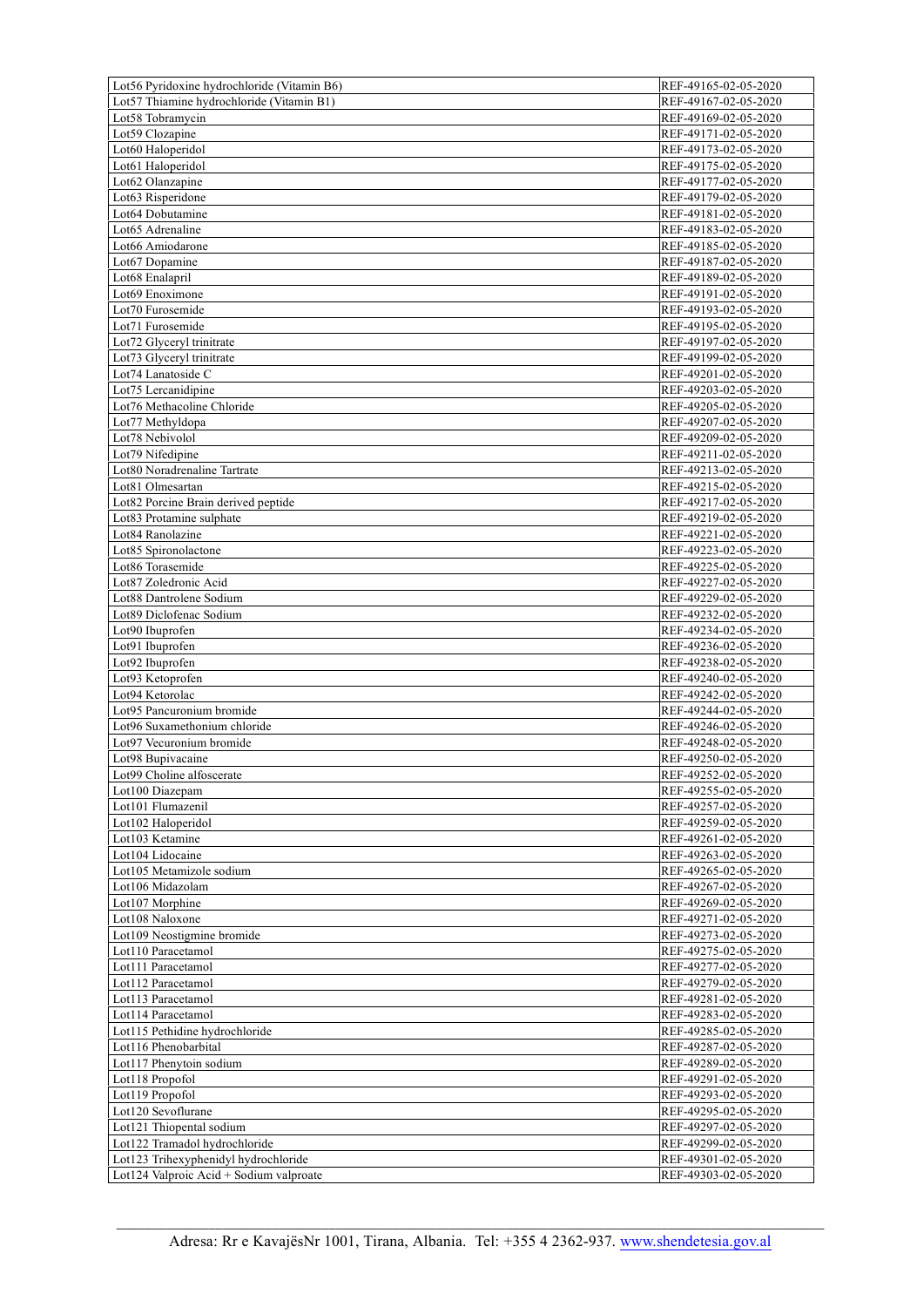| Lot56 Pyridoxine hydrochloride (Vitamin B6)                                     | REF-49165-02-05-2020                         |
|---------------------------------------------------------------------------------|----------------------------------------------|
| Lot57 Thiamine hydrochloride (Vitamin B1)                                       | REF-49167-02-05-2020                         |
| Lot58 Tobramycin                                                                | REF-49169-02-05-2020                         |
| Lot59 Clozapine                                                                 | REF-49171-02-05-2020                         |
| Lot60 Haloperidol                                                               | REF-49173-02-05-2020                         |
| Lot61 Haloperidol                                                               | REF-49175-02-05-2020                         |
| Lot62 Olanzapine                                                                | REF-49177-02-05-2020                         |
| Lot63 Risperidone                                                               | REF-49179-02-05-2020                         |
| Lot64 Dobutamine                                                                | REF-49181-02-05-2020                         |
| Lot <sub>65</sub> Adrenaline                                                    | REF-49183-02-05-2020                         |
| Lot66 Amiodarone                                                                | REF-49185-02-05-2020                         |
| Lot <sub>67</sub> Dopamine                                                      | REF-49187-02-05-2020                         |
| Lot68 Enalapril                                                                 | REF-49189-02-05-2020                         |
| Lot69 Enoximone                                                                 | REF-49191-02-05-2020                         |
| Lot70 Furosemide                                                                | REF-49193-02-05-2020                         |
| Lot71 Furosemide                                                                | REF-49195-02-05-2020                         |
| Lot72 Glyceryl trinitrate                                                       | REF-49197-02-05-2020                         |
| Lot73 Glyceryl trinitrate                                                       | REF-49199-02-05-2020                         |
| Lot74 Lanatoside C                                                              | REF-49201-02-05-2020                         |
| Lot75 Lercanidipine                                                             | REF-49203-02-05-2020                         |
| Lot76 Methacoline Chloride                                                      | REF-49205-02-05-2020                         |
| Lot77 Methyldopa                                                                | REF-49207-02-05-2020                         |
| Lot78 Nebivolol                                                                 | REF-49209-02-05-2020                         |
| Lot79 Nifedipine                                                                | REF-49211-02-05-2020                         |
| Lot80 Noradrenaline Tartrate                                                    | REF-49213-02-05-2020                         |
| Lot81 Olmesartan                                                                | REF-49215-02-05-2020                         |
| Lot82 Porcine Brain derived peptide                                             | REF-49217-02-05-2020                         |
| Lot83 Protamine sulphate                                                        | REF-49219-02-05-2020                         |
| Lot84 Ranolazine                                                                | REF-49221-02-05-2020                         |
| Lot85 Spironolactone                                                            | REF-49223-02-05-2020                         |
| Lot86 Torasemide<br>Lot87 Zoledronic Acid                                       | REF-49225-02-05-2020<br>REF-49227-02-05-2020 |
| Lot88 Dantrolene Sodium                                                         | REF-49229-02-05-2020                         |
| Lot89 Diclofenac Sodium                                                         | REF-49232-02-05-2020                         |
| Lot90 Ibuprofen                                                                 | REF-49234-02-05-2020                         |
| Lot91 Ibuprofen                                                                 | REF-49236-02-05-2020                         |
| Lot92 Ibuprofen                                                                 | REF-49238-02-05-2020                         |
| Lot93 Ketoprofen                                                                | REF-49240-02-05-2020                         |
| Lot94 Ketorolac                                                                 | REF-49242-02-05-2020                         |
| Lot95 Pancuronium bromide                                                       | REF-49244-02-05-2020                         |
| Lot96 Suxamethonium chloride                                                    | REF-49246-02-05-2020                         |
| Lot97 Vecuronium bromide                                                        | REF-49248-02-05-2020                         |
| Lot98 Bupivacaine                                                               | REF-49250-02-05-2020                         |
| Lot99 Choline alfoscerate                                                       | REF-49252-02-05-2020                         |
| Lot100 Diazepam                                                                 | REF-49255-02-05-2020                         |
| Lot101 Flumazenil                                                               | REF-49257-02-05-2020                         |
| Lot102 Haloperidol                                                              | REF-49259-02-05-2020                         |
| Lot103 Ketamine                                                                 | REF-49261-02-05-2020                         |
| Lot104 Lidocaine                                                                | REF-49263-02-05-2020                         |
| Lot105 Metamizole sodium                                                        | REF-49265-02-05-2020                         |
| Lot106 Midazolam                                                                | REF-49267-02-05-2020                         |
| Lot107 Morphine                                                                 | REF-49269-02-05-2020                         |
| Lot108 Naloxone                                                                 | REF-49271-02-05-2020                         |
| Lot109 Neostigmine bromide                                                      |                                              |
|                                                                                 | REF-49273-02-05-2020                         |
| Lot110 Paracetamol                                                              | REF-49275-02-05-2020                         |
| Lot111 Paracetamol                                                              | REF-49277-02-05-2020                         |
| Lot112 Paracetamol                                                              | REF-49279-02-05-2020                         |
| Lot113 Paracetamol                                                              | REF-49281-02-05-2020                         |
| Lot114 Paracetamol                                                              | REF-49283-02-05-2020                         |
| Lot115 Pethidine hydrochloride                                                  | REF-49285-02-05-2020                         |
| Lot116 Phenobarbital                                                            | REF-49287-02-05-2020                         |
| Lot117 Phenytoin sodium                                                         | REF-49289-02-05-2020                         |
| Lot118 Propofol                                                                 | REF-49291-02-05-2020                         |
| Lot119 Propofol                                                                 | REF-49293-02-05-2020                         |
| Lot120 Sevoflurane                                                              | REF-49295-02-05-2020                         |
| Lot121 Thiopental sodium                                                        | REF-49297-02-05-2020                         |
| Lot122 Tramadol hydrochloride                                                   | REF-49299-02-05-2020                         |
| Lot123 Trihexyphenidyl hydrochloride<br>Lot124 Valproic Acid + Sodium valproate | REF-49301-02-05-2020<br>REF-49303-02-05-2020 |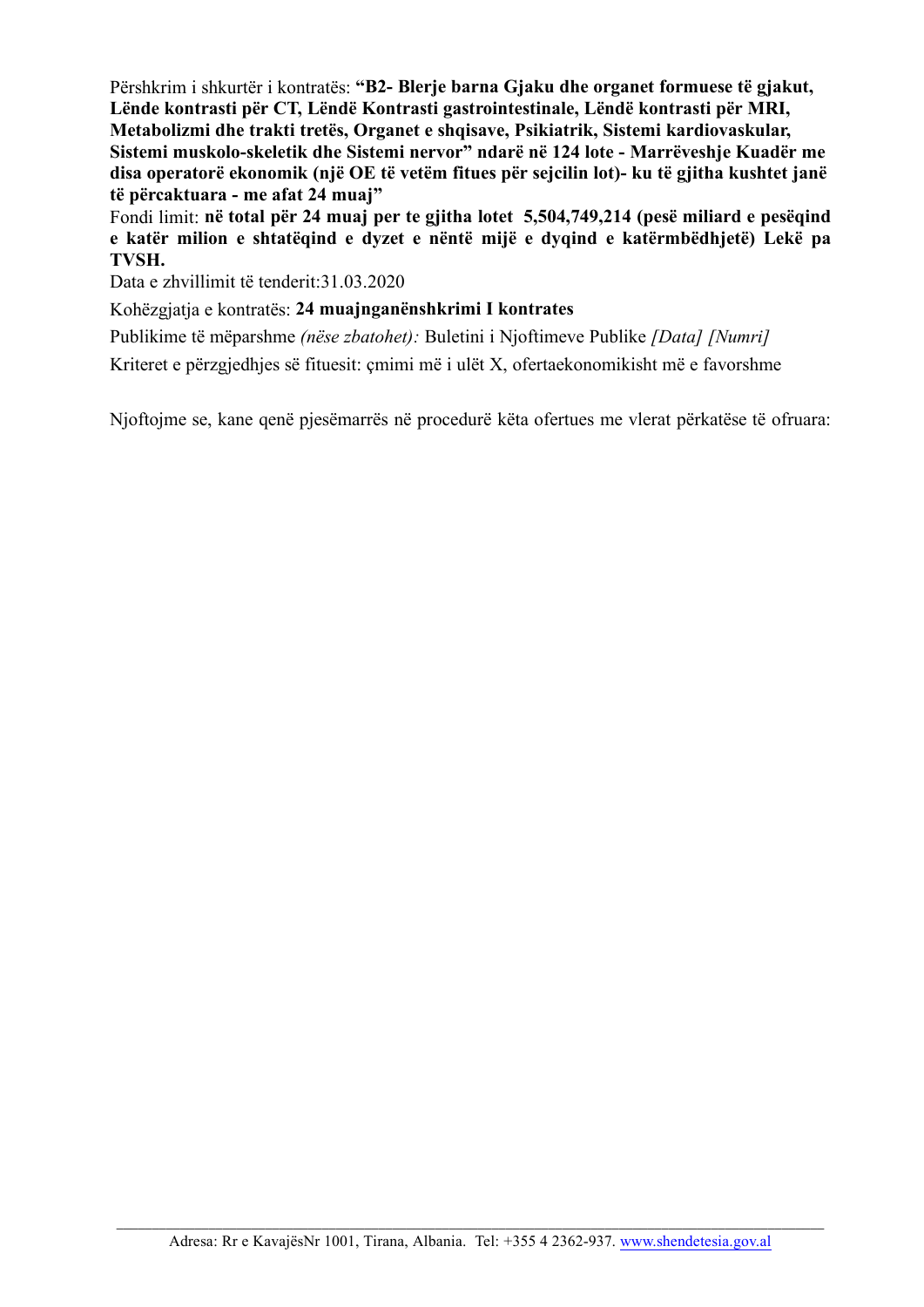Përshkrim i shkurtër i kontratës: **"B2- Blerje barna Gjaku dhe organet formuese të gjakut, Lënde kontrasti për CT, Lëndë Kontrasti gastrointestinale, Lëndë kontrasti për MRI, Metabolizmi dhe trakti tretës, Organet e shqisave, Psikiatrik, Sistemi kardiovaskular, Sistemi muskolo-skeletik dhe Sistemi nervor" ndarë në 124 lote - Marrëveshje Kuadër me disa operatorë ekonomik (një OE të vetëm fitues për sejcilin lot)- ku të gjitha kushtet janë të përcaktuara - me afat 24 muaj"**

Fondi limit: **në total për 24 muaj per te gjitha lotet 5,504,749,214 (pesë miliard e pesëqind e katër milion e shtatëqind e dyzet e nëntë mijë e dyqind e katërmbëdhjetë) Lekë pa TVSH.**

Data e zhvillimit të tenderit:31.03.2020

Kohëzgjatja e kontratës: **24 muajnganënshkrimi I kontrates**

Publikime të mëparshme *(nëse zbatohet):* Buletini i Njoftimeve Publike *[Data] [Numri]* Kriteret e përzgjedhjes së fituesit: çmimi më i ulët X, ofertaekonomikisht më e favorshme

Njoftojme se, kane qenë pjesëmarrës në procedurë këta ofertues me vlerat përkatëse të ofruara: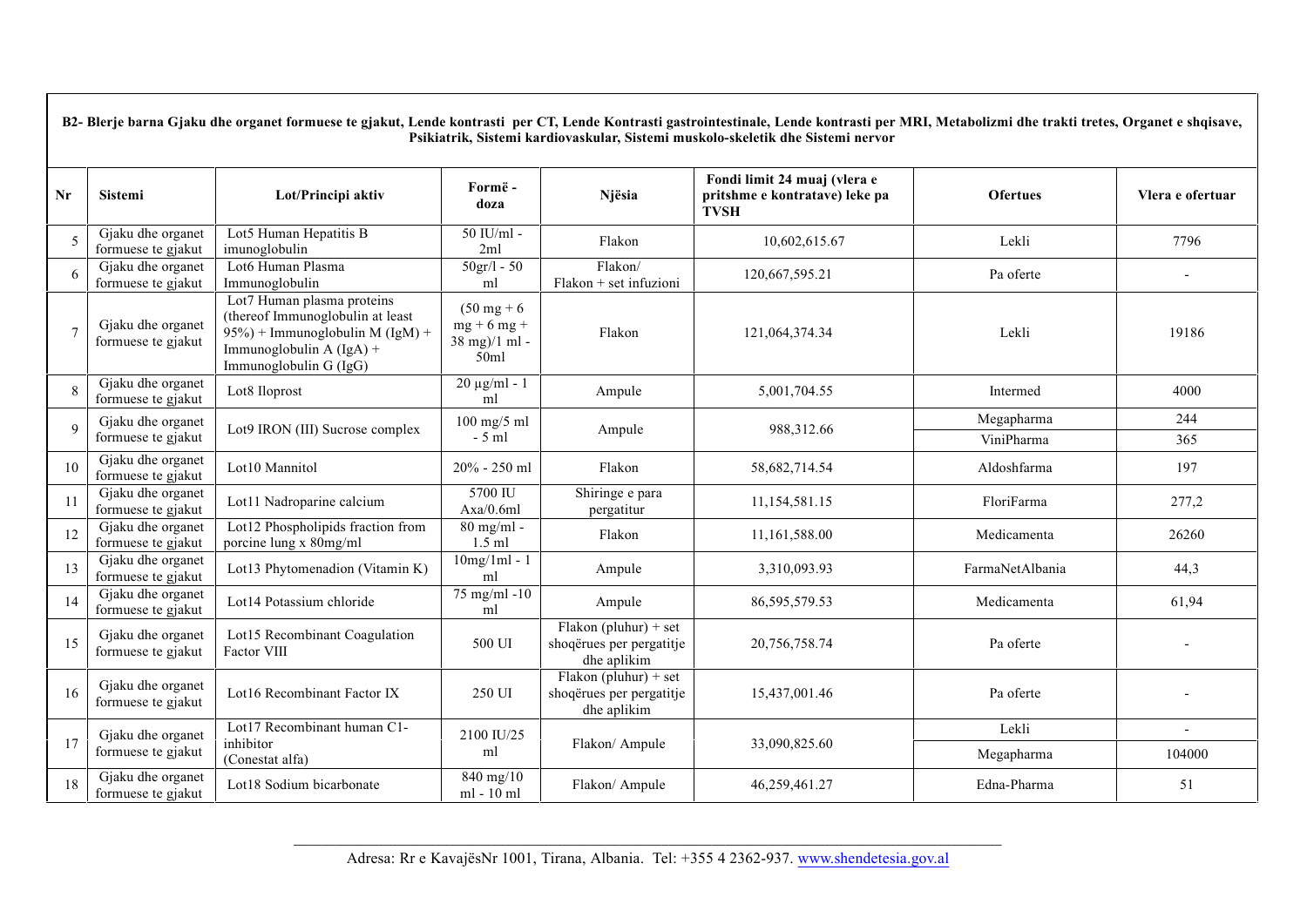|                | B2- Blerje barna Gjaku dhe organet formuese te gjakut, Lende kontrasti per CT, Lende Kontrasti gastrointestinale, Lende kontrasti per MRI, Metabolizmi dhe trakti tretes, Organet e shqisave,<br>Psikiatrik, Sistemi kardiovaskular, Sistemi muskolo-skeletik dhe Sistemi nervor |                                                                                                                                                               |                                                                 |                                                                  |                                                                               |                          |                          |  |  |
|----------------|----------------------------------------------------------------------------------------------------------------------------------------------------------------------------------------------------------------------------------------------------------------------------------|---------------------------------------------------------------------------------------------------------------------------------------------------------------|-----------------------------------------------------------------|------------------------------------------------------------------|-------------------------------------------------------------------------------|--------------------------|--------------------------|--|--|
| Nr             | <b>Sistemi</b>                                                                                                                                                                                                                                                                   | Lot/Principi aktiv                                                                                                                                            | Formë-<br>doza                                                  | Njësia                                                           | Fondi limit 24 muaj (vlera e<br>pritshme e kontratave) leke pa<br><b>TVSH</b> | <b>Ofertues</b>          | Vlera e ofertuar         |  |  |
| 5              | Gjaku dhe organet<br>formuese te gjakut                                                                                                                                                                                                                                          | Lot5 Human Hepatitis B<br>imunoglobulin                                                                                                                       | 50 IU/ml -<br>2ml                                               | Flakon                                                           | 10,602,615.67                                                                 | Lekli                    | 7796                     |  |  |
| 6              | Gjaku dhe organet<br>formuese te gjakut                                                                                                                                                                                                                                          | Lot6 Human Plasma<br>Immunoglobulin                                                                                                                           | $50 \frac{\text{gr}}{1 - 50}$<br>ml                             | Flakon/<br>Flakon + set infuzioni                                | 120,667,595.21                                                                | Pa oferte                |                          |  |  |
| $\overline{7}$ | Gjaku dhe organet<br>formuese te gjakut                                                                                                                                                                                                                                          | Lot7 Human plasma proteins<br>(thereof Immunoglobulin at least<br>$95\%$ ) + Immunoglobulin M (IgM) +<br>Immunoglobulin $A (IgA) +$<br>Immunoglobulin G (IgG) | $(50 \text{ mg} + 6)$<br>$mg + 6 mg +$<br>38 mg)/1 ml -<br>50ml | Flakon                                                           | 121,064,374.34                                                                | Lekli                    | 19186                    |  |  |
| 8              | Gjaku dhe organet<br>formuese te gjakut                                                                                                                                                                                                                                          | Lot8 Iloprost                                                                                                                                                 | $20 \mu g/ml - 1$<br>ml                                         | Ampule                                                           | 5,001,704.55                                                                  | Intermed                 | 4000                     |  |  |
| $\mathbf{Q}$   | Gjaku dhe organet<br>formuese te gjakut                                                                                                                                                                                                                                          | Lot9 IRON (III) Sucrose complex                                                                                                                               | $100$ mg/5 ml<br>$-5$ ml                                        | Ampule                                                           | 988,312.66                                                                    | Megapharma<br>ViniPharma | 244<br>365               |  |  |
| 10             | Gjaku dhe organet<br>formuese te gjakut                                                                                                                                                                                                                                          | Lot10 Mannitol                                                                                                                                                | 20% - 250 ml                                                    | Flakon                                                           | 58,682,714.54                                                                 | Aldoshfarma              | 197                      |  |  |
| 11             | Gjaku dhe organet<br>formuese te gjakut                                                                                                                                                                                                                                          | Lot11 Nadroparine calcium                                                                                                                                     | 5700 IU<br>Axa/0.6ml                                            | Shiringe e para<br>pergatitur                                    | 11,154,581.15                                                                 | FloriFarma               | 277,2                    |  |  |
| 12             | Gjaku dhe organet<br>formuese te gjakut                                                                                                                                                                                                                                          | Lot12 Phospholipids fraction from<br>porcine lung x 80mg/ml                                                                                                   | $\overline{80}$ mg/ml -<br>$1.5$ ml                             | Flakon                                                           | 11,161,588.00                                                                 | Medicamenta              | 26260                    |  |  |
| 13             | Gjaku dhe organet<br>formuese te gjakut                                                                                                                                                                                                                                          | Lot13 Phytomenadion (Vitamin K)                                                                                                                               | $10mg/1ml - 1$<br>ml                                            | Ampule                                                           | 3,310,093.93                                                                  | FarmaNetAlbania          | 44,3                     |  |  |
| 14             | Gjaku dhe organet<br>formuese te gjakut                                                                                                                                                                                                                                          | Lot14 Potassium chloride                                                                                                                                      | 75 mg/ml -10<br>ml                                              | Ampule                                                           | 86, 595, 579. 53                                                              | Medicamenta              | 61,94                    |  |  |
| 15             | Gjaku dhe organet<br>formuese te gjakut                                                                                                                                                                                                                                          | Lot15 Recombinant Coagulation<br>Factor VIII                                                                                                                  | 500 UI                                                          | Flakon (pluhur) + set<br>shoqërues per pergatitje<br>dhe aplikim | 20,756,758.74                                                                 | Pa oferte                |                          |  |  |
| 16             | Gjaku dhe organet<br>formuese te gjakut                                                                                                                                                                                                                                          | Lot16 Recombinant Factor IX                                                                                                                                   | 250 UI                                                          | Flakon (pluhur) + set<br>shoqërues per pergatitje<br>dhe aplikim | 15,437,001.46                                                                 | Pa oferte                |                          |  |  |
| 17             | Gjaku dhe organet                                                                                                                                                                                                                                                                | Lot17 Recombinant human C1-<br>inhibitor                                                                                                                      | 2100 IU/25                                                      |                                                                  |                                                                               | Lekli                    | $\overline{\phantom{a}}$ |  |  |
|                | formuese te gjakut                                                                                                                                                                                                                                                               | (Conestat alfa)                                                                                                                                               | ml                                                              | Flakon/ Ampule                                                   | 33,090,825.60                                                                 | Megapharma               | 104000                   |  |  |
| 18             | Gjaku dhe organet<br>formuese te gjakut                                                                                                                                                                                                                                          | Lot18 Sodium bicarbonate                                                                                                                                      | 840 mg/10<br>ml - 10 ml                                         | Flakon/ Ampule                                                   | 46,259,461.27                                                                 | Edna-Pharma              | 51                       |  |  |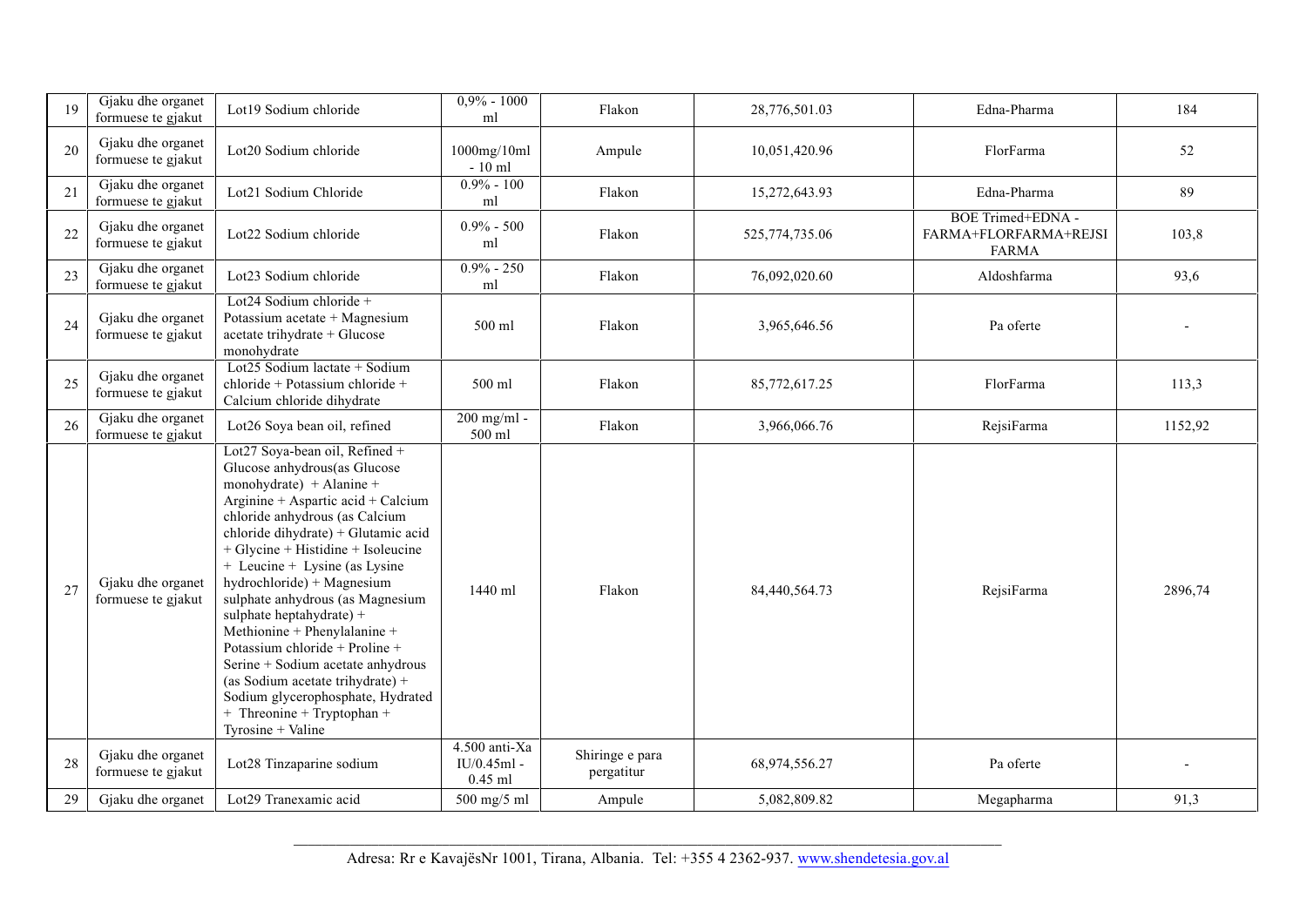| 19 | Gjaku dhe organet<br>formuese te gjakut | Lot19 Sodium chloride                                                                                                                                                                                                                                                                                                                                                                                                                                                                                                                                                                                                         | $0,9\% - 1000$<br>ml                          | Flakon                        | 28,776,501.03  | Edna-Pharma                                                | 184     |
|----|-----------------------------------------|-------------------------------------------------------------------------------------------------------------------------------------------------------------------------------------------------------------------------------------------------------------------------------------------------------------------------------------------------------------------------------------------------------------------------------------------------------------------------------------------------------------------------------------------------------------------------------------------------------------------------------|-----------------------------------------------|-------------------------------|----------------|------------------------------------------------------------|---------|
| 20 | Gjaku dhe organet<br>formuese te gjakut | Lot20 Sodium chloride                                                                                                                                                                                                                                                                                                                                                                                                                                                                                                                                                                                                         | 1000mg/10ml<br>$-10$ ml                       | Ampule                        | 10,051,420.96  | FlorFarma                                                  | 52      |
| 21 | Gjaku dhe organet<br>formuese te gjakut | Lot21 Sodium Chloride                                                                                                                                                                                                                                                                                                                                                                                                                                                                                                                                                                                                         | $0.9\% - 100$<br>ml                           | Flakon                        | 15,272,643.93  | Edna-Pharma                                                | 89      |
| 22 | Gjaku dhe organet<br>formuese te gjakut | Lot22 Sodium chloride                                                                                                                                                                                                                                                                                                                                                                                                                                                                                                                                                                                                         | $0.9\% - 500$<br>ml                           | Flakon                        | 525,774,735.06 | BOE Trimed+EDNA -<br>FARMA+FLORFARMA+REJSI<br><b>FARMA</b> | 103,8   |
| 23 | Gjaku dhe organet<br>formuese te gjakut | Lot23 Sodium chloride                                                                                                                                                                                                                                                                                                                                                                                                                                                                                                                                                                                                         | $0.9\% - 250$<br>ml                           | Flakon                        | 76,092,020.60  | Aldoshfarma                                                | 93,6    |
| 24 | Gjaku dhe organet<br>formuese te gjakut | Lot24 Sodium chloride $+$<br>Potassium acetate + Magnesium<br>acetate trihydrate + Glucose<br>monohydrate                                                                                                                                                                                                                                                                                                                                                                                                                                                                                                                     | 500 ml                                        | Flakon                        | 3,965,646.56   | Pa oferte                                                  |         |
| 25 | Gjaku dhe organet<br>formuese te gjakut | Lot25 Sodium lactate + Sodium<br>chloride + Potassium chloride +<br>Calcium chloride dihydrate                                                                                                                                                                                                                                                                                                                                                                                                                                                                                                                                | 500 ml                                        | Flakon                        | 85,772,617.25  | FlorFarma                                                  | 113,3   |
| 26 | Gjaku dhe organet<br>formuese te gjakut | Lot26 Soya bean oil, refined                                                                                                                                                                                                                                                                                                                                                                                                                                                                                                                                                                                                  | 200 mg/ml -<br>500 ml                         | Flakon                        | 3,966,066.76   | RejsiFarma                                                 | 1152,92 |
| 27 | Gjaku dhe organet<br>formuese te gjakut | Lot27 Soya-bean oil, Refined +<br>Glucose anhydrous(as Glucose<br>monohydrate) + Alanine +<br>Arginine + Aspartic acid + Calcium<br>chloride anhydrous (as Calcium<br>chloride dihydrate) + Glutamic acid<br>$+$ Glycine $+$ Histidine $+$ Isoleucine<br>+ Leucine + Lysine (as Lysine<br>hydrochloride) + Magnesium<br>sulphate anhydrous (as Magnesium<br>sulphate heptahydrate) +<br>Methionine + Phenylalanine +<br>Potassium chloride + Proline +<br>Serine + Sodium acetate anhydrous<br>(as Sodium acetate trihydrate) +<br>Sodium glycerophosphate, Hydrated<br>$+$ Threonine $+$ Tryptophan $+$<br>Tyrosine + Valine | $1440$ ml                                     | Flakon                        | 84,440,564.73  | RejsiFarma                                                 | 2896,74 |
| 28 | Gjaku dhe organet<br>formuese te gjakut | Lot28 Tinzaparine sodium                                                                                                                                                                                                                                                                                                                                                                                                                                                                                                                                                                                                      | $4.500$ anti-Xa<br>$IU/0.45ml -$<br>$0.45$ ml | Shiringe e para<br>pergatitur | 68,974,556.27  | Pa oferte                                                  |         |
| 29 | Gjaku dhe organet                       | Lot29 Tranexamic acid                                                                                                                                                                                                                                                                                                                                                                                                                                                                                                                                                                                                         | 500 mg/5 ml                                   | Ampule                        | 5,082,809.82   | Megapharma                                                 | 91,3    |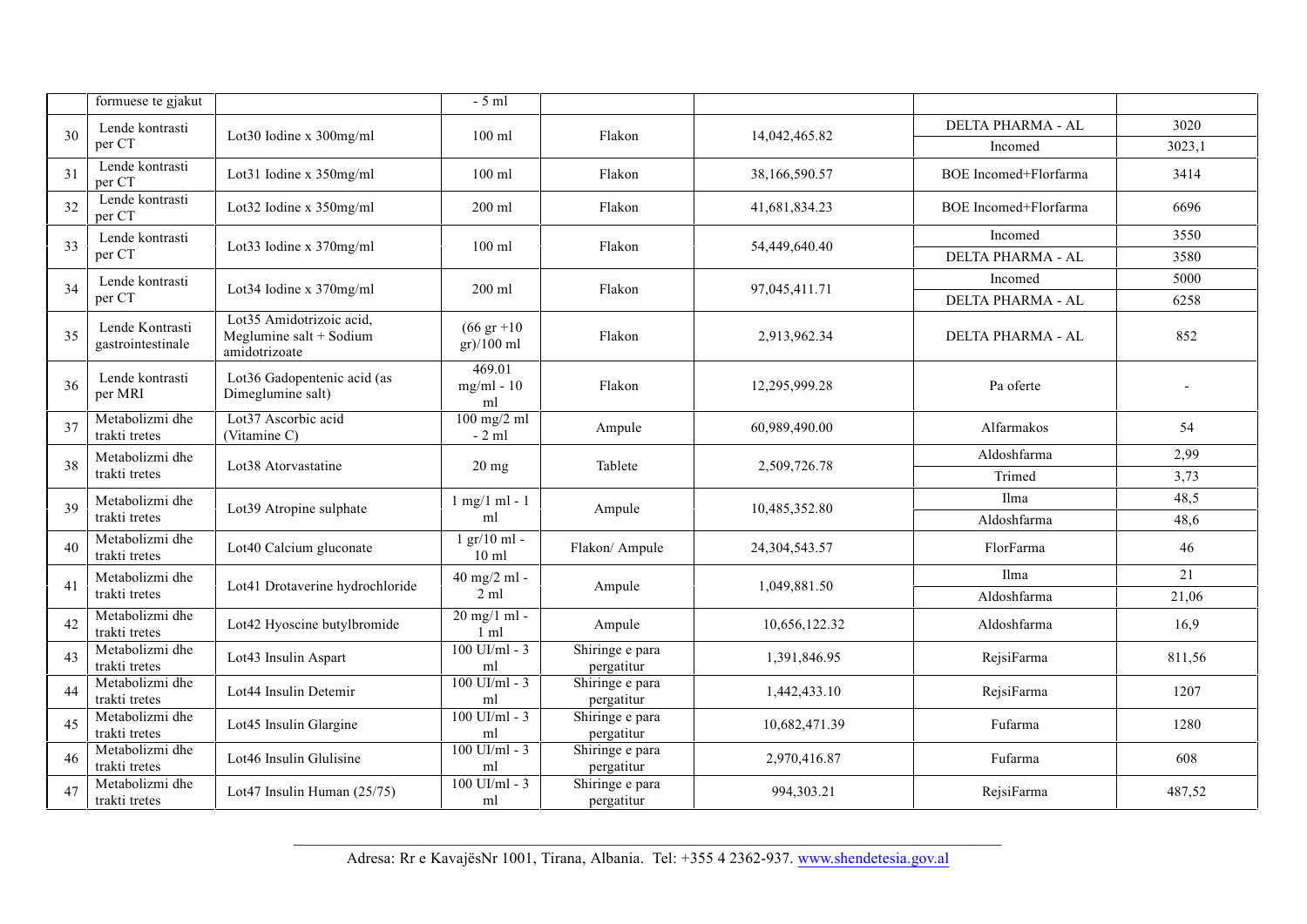|    | formuese te gjakut                   |                                                                        | $-5$ ml                                |                               |               |                              |             |
|----|--------------------------------------|------------------------------------------------------------------------|----------------------------------------|-------------------------------|---------------|------------------------------|-------------|
|    | Lende kontrasti                      |                                                                        |                                        |                               |               | DELTA PHARMA - AL            | 3020        |
| 30 | per CT                               | Lot30 Iodine x 300mg/ml                                                | $100$ ml                               | Flakon                        | 14,042,465.82 | Incomed                      | 3023,1      |
| 31 | Lende kontrasti<br>per CT            | Lot31 Iodine x 350mg/ml                                                | $100$ ml                               | Flakon                        | 38,166,590.57 | <b>BOE</b> Incomed+Florfarma | 3414        |
| 32 | Lende kontrasti<br>per CT            | Lot32 Iodine x 350mg/ml                                                | 200 ml                                 | Flakon                        | 41,681,834.23 | BOE Incomed+Florfarma        | 6696        |
| 33 | Lende kontrasti                      | Lot33 Iodine x 370mg/ml                                                | $100$ ml                               | Flakon                        | 54,449,640.40 | Incomed                      | 3550        |
|    | per CT                               |                                                                        |                                        |                               |               | DELTA PHARMA - AL            | 3580        |
| 34 | Lende kontrasti                      | Lot34 Iodine x 370mg/ml                                                | $200 \text{ ml}$                       | Flakon                        | 97,045,411.71 | Incomed                      | 5000        |
|    | per CT                               |                                                                        |                                        |                               |               | DELTA PHARMA - AL            | 6258        |
| 35 | Lende Kontrasti<br>gastrointestinale | Lot35 Amidotrizoic acid,<br>Meglumine salt $+$ Sodium<br>amidotrizoate | $(66 \text{ gr } +10)$<br>$gr)/100$ ml | Flakon                        | 2,913,962.34  | <b>DELTA PHARMA - AL</b>     | 852         |
| 36 | Lende kontrasti<br>per MRI           | Lot36 Gadopentenic acid (as<br>Dimeglumine salt)                       | 469.01<br>$mg/ml - 10$<br>ml           | Flakon                        | 12,295,999.28 | Pa oferte                    |             |
| 37 | Metabolizmi dhe<br>trakti tretes     | Lot37 Ascorbic acid<br>(Vitamine C)                                    | $100$ mg/2 ml<br>$-2$ ml               | Ampule                        | 60,989,490.00 | Alfarmakos                   | 54          |
| 38 | Metabolizmi dhe                      | Lot38 Atorvastatine                                                    | $20$ mg                                | Tablete                       | 2,509,726.78  | Aldoshfarma                  | 2,99        |
|    | trakti tretes                        |                                                                        |                                        |                               |               | Trimed                       | 3,73        |
| 39 | Metabolizmi dhe                      | Lot39 Atropine sulphate                                                | $1$ mg/1 ml - 1                        | Ampule                        | 10,485,352.80 | Ilma                         | 48,5        |
|    | trakti tretes                        |                                                                        |                                        | ml                            |               | Aldoshfarma                  | 48,6        |
| 40 | Metabolizmi dhe<br>trakti tretes     | Lot40 Calcium gluconate                                                | $1$ gr/ $10$ ml -<br>$10 \text{ ml}$   | Flakon/ Ampule                | 24,304,543.57 | FlorFarma                    | 46          |
| 41 | Metabolizmi dhe<br>trakti tretes     | Lot41 Drotaverine hydrochloride                                        | 40 mg/2 ml -<br>$2 \text{ ml}$         | Ampule                        | 1,049,881.50  | Ilma<br>Aldoshfarma          | 21<br>21,06 |
|    | Metabolizmi dhe                      |                                                                        | 20 mg/1 ml -                           |                               |               |                              |             |
| 42 | trakti tretes                        | Lot42 Hyoscine butylbromide                                            | 1 <sub>m1</sub>                        | Ampule                        | 10,656,122.32 | Aldoshfarma                  | 16,9        |
| 43 | Metabolizmi dhe<br>trakti tretes     | Lot43 Insulin Aspart                                                   | $100$ UI/ml - 3<br>ml                  | Shiringe e para<br>pergatitur | 1,391,846.95  | RejsiFarma                   | 811,56      |
| 44 | Metabolizmi dhe<br>trakti tretes     | Lot44 Insulin Detemir                                                  | $100$ UI/ml - 3<br>ml                  | Shiringe e para<br>pergatitur | 1,442,433.10  | RejsiFarma                   | 1207        |
| 45 | Metabolizmi dhe<br>trakti tretes     | Lot45 Insulin Glargine                                                 | $100$ UI/ml - 3<br>ml                  | Shiringe e para<br>pergatitur | 10,682,471.39 | Fufarma                      | 1280        |
| 46 | Metabolizmi dhe<br>trakti tretes     | Lot46 Insulin Glulisine                                                | $100$ UI/ml - 3<br>ml                  | Shiringe e para<br>pergatitur | 2,970,416.87  | Fufarma                      | 608         |
| 47 | Metabolizmi dhe<br>trakti tretes     | Lot47 Insulin Human (25/75)                                            | $100$ UI/ml - 3<br>ml                  | Shiringe e para<br>pergatitur | 994,303.21    | RejsiFarma                   | 487,52      |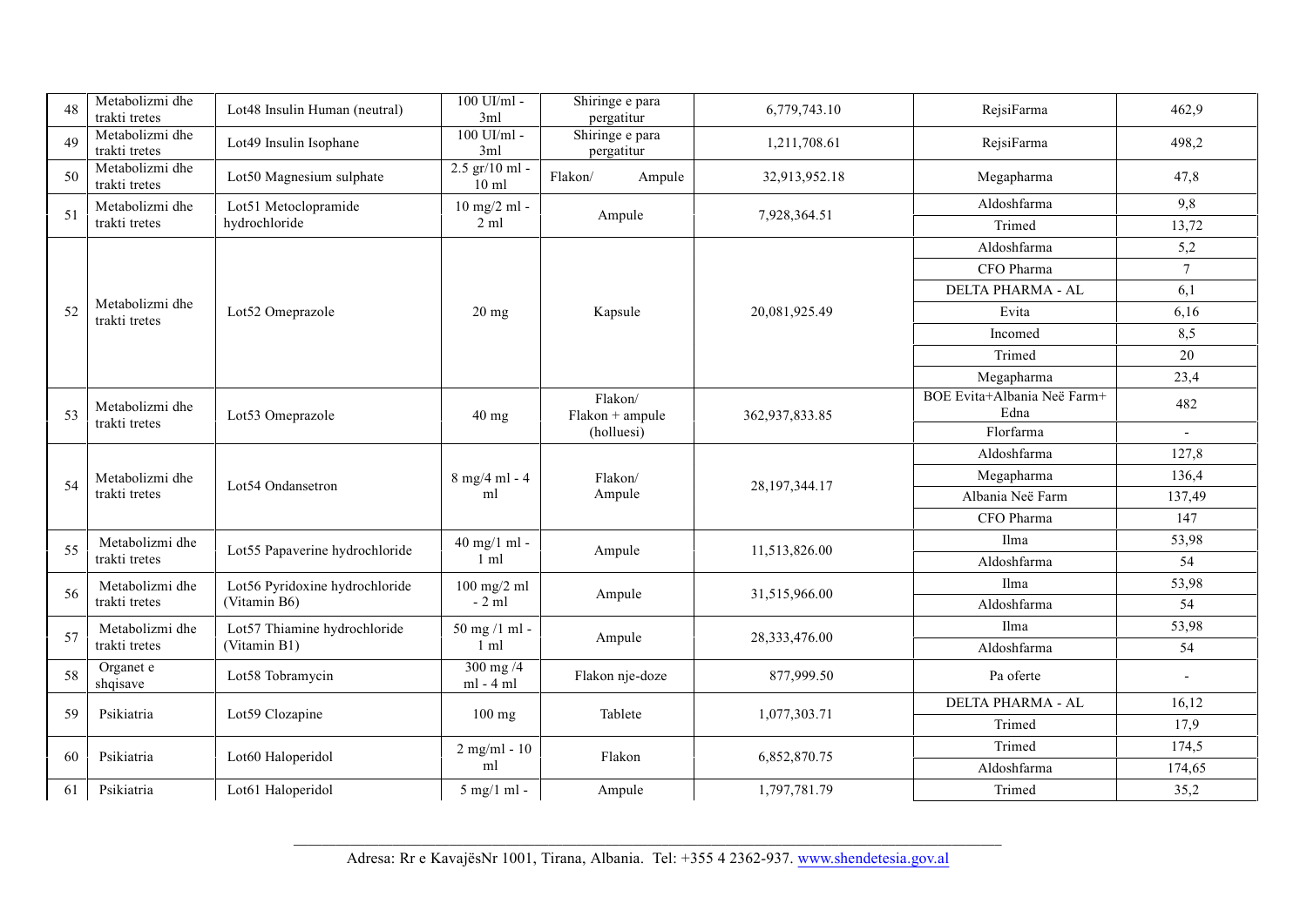| 48 | Metabolizmi dhe<br>trakti tretes | Lot48 Insulin Human (neutral)  | $100$ UI/ml -<br>3ml                | Shiringe e para<br>pergatitur | 6,779,743.10     | RejsiFarma                          | 462,9                    |
|----|----------------------------------|--------------------------------|-------------------------------------|-------------------------------|------------------|-------------------------------------|--------------------------|
| 49 | Metabolizmi dhe<br>trakti tretes | Lot49 Insulin Isophane         | 100 UI/ml -<br>3ml                  | Shiringe e para<br>pergatitur | 1,211,708.61     | RejsiFarma                          | 498,2                    |
| 50 | Metabolizmi dhe<br>trakti tretes | Lot50 Magnesium sulphate       | $2.5$ gr/10 ml -<br>$10 \text{ ml}$ | Flakon/<br>Ampule             | 32,913,952.18    | Megapharma                          | 47,8                     |
| 51 | Metabolizmi dhe                  | Lot51 Metoclopramide           | 10 mg/2 ml -                        | Ampule                        | 7,928,364.51     | Aldoshfarma                         | 9,8                      |
|    | trakti tretes                    | hydrochloride                  | $2 \text{ ml}$                      |                               |                  | Trimed                              | 13,72                    |
|    |                                  |                                |                                     |                               |                  | Aldoshfarma                         | 5,2                      |
|    |                                  |                                |                                     |                               |                  | CFO Pharma                          | $\overline{7}$           |
|    | Metabolizmi dhe                  |                                |                                     |                               |                  | DELTA PHARMA - AL                   | 6,1                      |
| 52 | trakti tretes                    | Lot52 Omeprazole               | $20 \text{ mg}$                     | Kapsule                       | 20,081,925.49    | Evita                               | 6,16                     |
|    |                                  |                                |                                     |                               |                  | Incomed                             | 8,5                      |
|    |                                  |                                |                                     |                               |                  | Trimed                              | 20                       |
|    |                                  |                                |                                     |                               |                  | Megapharma                          | 23,4                     |
| 53 | Metabolizmi dhe                  | Lot53 Omeprazole               | 40 mg                               | Flakon/<br>$Flakon + ampule$  | 362,937,833.85   | BOE Evita+Albania Neë Farm+<br>Edna | 482                      |
|    | trakti tretes                    |                                |                                     | (holluesi)                    |                  | Florfarma                           | $\sim$                   |
|    |                                  |                                |                                     |                               |                  | Aldoshfarma                         | 127,8                    |
| 54 | Metabolizmi dhe                  | Lot54 Ondansetron              | $8$ mg/4 ml - 4                     | Flakon/                       | 28, 197, 344. 17 | Megapharma                          | 136,4                    |
|    | trakti tretes                    |                                | ml                                  | Ampule                        |                  | Albania Neë Farm                    | 137,49                   |
|    |                                  |                                |                                     |                               |                  | CFO Pharma                          | 147                      |
| 55 | Metabolizmi dhe                  | Lot55 Papaverine hydrochloride | 40 mg/1 ml -                        | Ampule                        | 11,513,826.00    | Ilma                                | 53,98                    |
|    | trakti tretes                    |                                | $1 \text{ ml}$                      |                               |                  | Aldoshfarma                         | 54                       |
| 56 | Metabolizmi dhe                  | Lot56 Pyridoxine hydrochloride | $100 \text{ mg}/2 \text{ ml}$       | Ampule                        | 31,515,966.00    | Ilma                                | 53,98                    |
|    | trakti tretes                    | (Vitamin B6)                   | $-2$ ml                             |                               |                  | Aldoshfarma                         | 54                       |
| 57 | Metabolizmi dhe                  | Lot57 Thiamine hydrochloride   | 50 mg /1 ml -                       | Ampule                        | 28,333,476.00    | Ilma                                | 53,98                    |
|    | trakti tretes                    | (Vitamin B1)                   | $1 \text{ ml}$                      |                               |                  | Aldoshfarma                         | 54                       |
| 58 | Organet e<br>shqisave            | Lot58 Tobramycin               | $300$ mg $/4$<br>$ml - 4 ml$        | Flakon nje-doze               | 877,999.50       | Pa oferte                           | $\overline{\phantom{a}}$ |
| 59 | Psikiatria                       | Lot59 Clozapine                | 100 mg                              | Tablete                       | 1,077,303.71     | DELTA PHARMA - AL                   | 16,12                    |
|    |                                  |                                |                                     |                               |                  | Trimed                              | 17,9                     |
| 60 | Psikiatria                       | Lot60 Haloperidol              | $2$ mg/ml - $10$                    | Flakon                        | 6,852,870.75     | Trimed                              | 174,5                    |
|    |                                  |                                | ml                                  |                               |                  | Aldoshfarma                         | 174,65                   |
| 61 | Psikiatria                       | Lot61 Haloperidol              | $\overline{5}$ mg/1 ml -            | Ampule                        | 1,797,781.79     | Trimed                              | 35,2                     |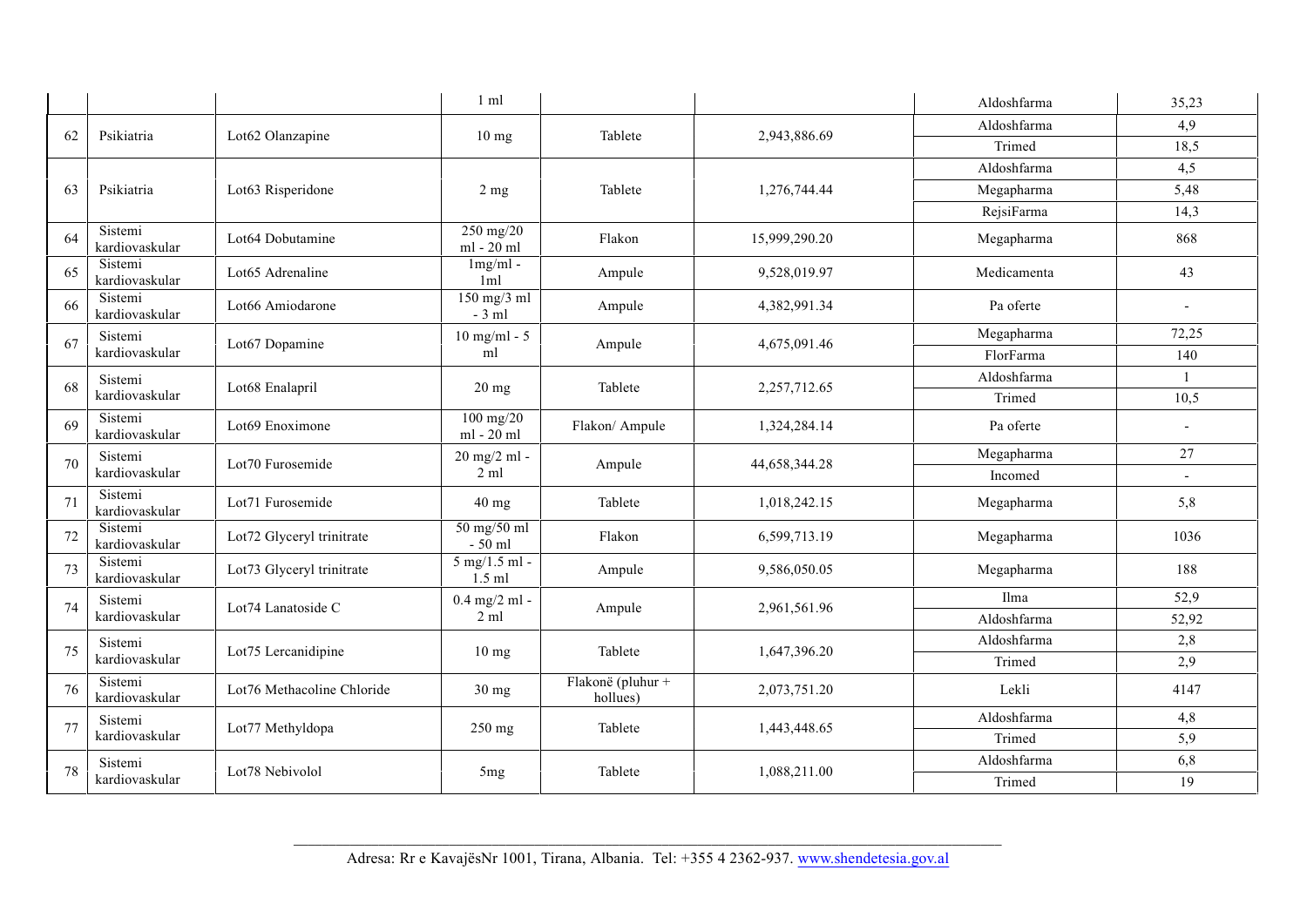|    |                           |                              | $1 \text{ ml}$              |                               |               | Aldoshfarma | 35,23                    |
|----|---------------------------|------------------------------|-----------------------------|-------------------------------|---------------|-------------|--------------------------|
|    |                           |                              |                             |                               |               | Aldoshfarma | 4,9                      |
| 62 | Psikiatria                | Lot62 Olanzapine             | $10 \text{ mg}$             | Tablete                       | 2,943,886.69  | Trimed      | 18,5                     |
|    |                           |                              |                             |                               |               | Aldoshfarma | 4,5                      |
| 63 | Psikiatria                | Lot63 Risperidone            | 2 <sub>mg</sub>             | Tablete                       | 1,276,744.44  | Megapharma  | 5,48                     |
|    |                           |                              |                             |                               |               | RejsiFarma  | 14,3                     |
| 64 | Sistemi<br>kardiovaskular | Lot64 Dobutamine             | 250 mg/20<br>ml - 20 ml     | Flakon                        | 15,999,290.20 | Megapharma  | 868                      |
| 65 | Sistemi<br>kardiovaskular | Lot <sub>65</sub> Adrenaline | $1mg/ml -$<br>1ml           | Ampule                        | 9,528,019.97  | Medicamenta | 43                       |
| 66 | Sistemi<br>kardiovaskular | Lot66 Amiodarone             | $150$ mg/3 ml<br>$-3$ ml    | Ampule                        | 4,382,991.34  | Pa oferte   | $\overline{\phantom{a}}$ |
| 67 | Sistemi                   | Lot67 Dopamine               | $10$ mg/ml - $5$            | Ampule                        | 4,675,091.46  | Megapharma  | 72,25                    |
|    | kardiovaskular            |                              | ml                          |                               |               | FlorFarma   | 140                      |
| 68 | Sistemi                   | Lot68 Enalapril              | $20$ mg                     | Tablete                       | 2,257,712.65  | Aldoshfarma | $\mathbf{1}$             |
|    | kardiovaskular            |                              |                             |                               |               | Trimed      | 10,5                     |
| 69 | Sistemi<br>kardiovaskular | Lot69 Enoximone              | $100$ mg/20<br>ml - 20 ml   | Flakon/ Ampule                | 1,324,284.14  | Pa oferte   | $\overline{\phantom{a}}$ |
| 70 | Sistemi                   | Lot70 Furosemide             | 20 mg/2 ml -                | Ampule                        | 44,658,344.28 | Megapharma  | 27                       |
|    | kardiovaskular            |                              | $2 \text{ ml}$              |                               |               | Incomed     | $\overline{a}$           |
| 71 | Sistemi<br>kardiovaskular | Lot71 Furosemide             | $40$ mg                     | Tablete                       | 1,018,242.15  | Megapharma  | 5,8                      |
| 72 | Sistemi<br>kardiovaskular | Lot72 Glyceryl trinitrate    | 50 mg/50 ml<br>$-50$ ml     | Flakon                        | 6,599,713.19  | Megapharma  | 1036                     |
| 73 | Sistemi<br>kardiovaskular | Lot73 Glyceryl trinitrate    | $5$ mg/1.5 ml -<br>$1.5$ ml | Ampule                        | 9,586,050.05  | Megapharma  | 188                      |
| 74 | Sistemi                   | Lot74 Lanatoside C           | $0.4$ mg/2 ml -             | Ampule                        | 2,961,561.96  | Ilma        | 52,9                     |
|    | kardiovaskular            |                              | $2 \text{ ml}$              |                               |               | Aldoshfarma | 52,92                    |
| 75 | Sistemi                   | Lot75 Lercanidipine          | $10 \text{ mg}$             | Tablete                       | 1,647,396.20  | Aldoshfarma | 2,8                      |
|    | kardiovaskular            |                              |                             |                               |               | Trimed      | 2,9                      |
| 76 | Sistemi<br>kardiovaskular | Lot76 Methacoline Chloride   | 30 mg                       | Flakonë (pluhur +<br>hollues) | 2,073,751.20  | Lekli       | 4147                     |
| 77 | Sistemi                   | Lot77 Methyldopa             | 250 mg                      | Tablete                       | 1,443,448.65  | Aldoshfarma | 4,8                      |
|    | kardiovaskular            |                              |                             |                               |               | Trimed      | 5,9                      |
| 78 | Sistemi                   | Lot78 Nebivolol              | 5 <sub>mg</sub>             | Tablete                       | 1,088,211.00  | Aldoshfarma | 6,8                      |
|    | kardiovaskular            |                              |                             |                               |               | Trimed      | 19                       |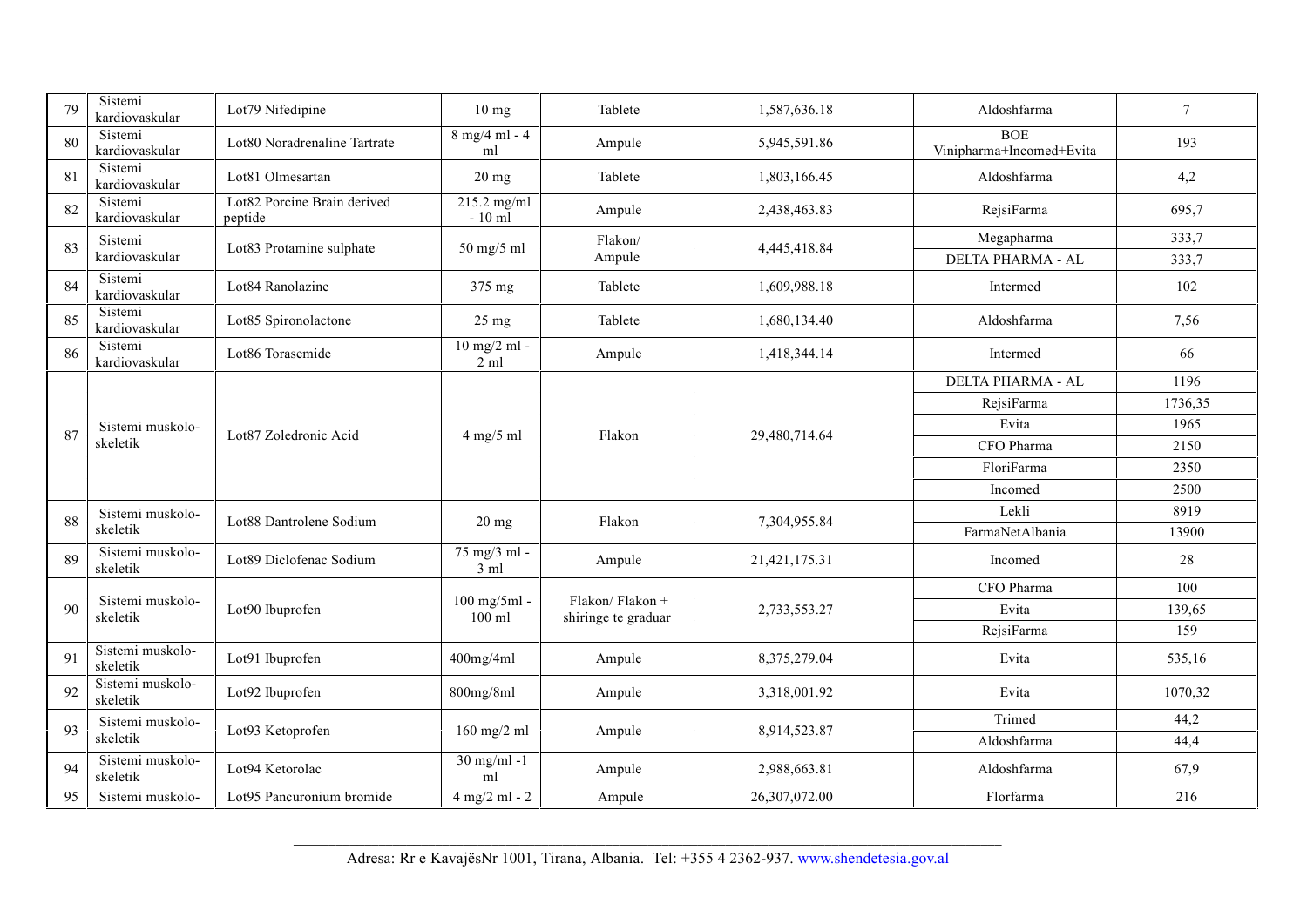| 79 | Sistemi<br>kardiovaskular    | Lot79 Nifedipine                       | $10 \text{ mg}$                   | Tablete                                | 1,587,636.18  | Aldoshfarma                            | $\tau$  |
|----|------------------------------|----------------------------------------|-----------------------------------|----------------------------------------|---------------|----------------------------------------|---------|
| 80 | Sistemi<br>kardiovaskular    | Lot80 Noradrenaline Tartrate           | $8$ mg/4 ml - 4<br>ml             | Ampule                                 | 5,945,591.86  | <b>BOE</b><br>Vinipharma+Incomed+Evita | 193     |
| 81 | Sistemi<br>kardiovaskular    | Lot81 Olmesartan                       | $20 \text{ mg}$                   | Tablete                                | 1,803,166.45  | Aldoshfarma                            | 4,2     |
| 82 | Sistemi<br>kardiovaskular    | Lot82 Porcine Brain derived<br>peptide | $215.2$ mg/ml<br>$-10$ ml         | Ampule                                 | 2,438,463.83  | RejsiFarma                             | 695,7   |
| 83 | Sistemi<br>kardiovaskular    | Lot83 Protamine sulphate               | 50 mg/5 ml                        | Flakon/<br>Ampule                      | 4,445,418.84  | Megapharma<br>DELTA PHARMA - AL        | 333,7   |
|    | Sistemi                      |                                        |                                   |                                        |               |                                        | 333,7   |
| 84 | kardiovaskular               | Lot84 Ranolazine                       | 375 mg                            | Tablete                                | 1,609,988.18  | Intermed                               | 102     |
| 85 | Sistemi<br>kardiovaskular    | Lot85 Spironolactone                   | $25 \text{ mg}$                   | Tablete                                | 1,680,134.40  | Aldoshfarma                            | 7,56    |
| 86 | Sistemi<br>kardiovaskular    | Lot86 Torasemide                       | $10$ mg/2 ml -<br>$2 \mathrm{ml}$ | Ampule                                 | 1,418,344.14  | Intermed                               | 66      |
|    |                              |                                        |                                   |                                        |               | DELTA PHARMA - AL                      | 1196    |
|    |                              |                                        |                                   |                                        |               | RejsiFarma                             | 1736,35 |
| 87 | Sistemi muskolo-             | Lot87 Zoledronic Acid                  | $4$ mg/5 ml                       | Flakon                                 | 29,480,714.64 | Evita                                  | 1965    |
|    | skeletik                     |                                        |                                   |                                        |               | CFO Pharma                             | 2150    |
|    |                              |                                        |                                   |                                        |               | FloriFarma                             | 2350    |
|    |                              |                                        |                                   |                                        |               | Incomed                                | 2500    |
| 88 | Sistemi muskolo-             | Lot88 Dantrolene Sodium                | $20$ mg                           | Flakon                                 | 7,304,955.84  | Lekli                                  | 8919    |
|    | skeletik                     |                                        |                                   |                                        |               | FarmaNetAlbania                        | 13900   |
| 89 | Sistemi muskolo-<br>skeletik | Lot89 Diclofenac Sodium                | 75 mg/3 ml -<br>3 ml              | Ampule                                 | 21,421,175.31 | Incomed                                | 28      |
|    |                              |                                        |                                   |                                        |               | CFO Pharma                             | 100     |
| 90 | Sistemi muskolo-<br>skeletik | Lot90 Ibuprofen                        | $100$ mg/5ml -<br>$100$ ml        | Flakon/Flakon +<br>shiringe te graduar | 2,733,553.27  | Evita                                  | 139,65  |
|    |                              |                                        |                                   |                                        |               | RejsiFarma                             | 159     |
| 91 | Sistemi muskolo-<br>skeletik | Lot91 Ibuprofen                        | 400mg/4ml                         | Ampule                                 | 8,375,279.04  | Evita                                  | 535,16  |
| 92 | Sistemi muskolo-<br>skeletik | Lot92 Ibuprofen                        | 800mg/8ml                         | Ampule                                 | 3,318,001.92  | Evita                                  | 1070,32 |
| 93 | Sistemi muskolo-             | Lot93 Ketoprofen                       |                                   |                                        | 8,914,523.87  | Trimed                                 | 44,2    |
|    | skeletik                     |                                        | $160$ mg/2 ml                     | Ampule                                 |               | Aldoshfarma                            | 44,4    |
| 94 | Sistemi muskolo-<br>skeletik | Lot94 Ketorolac                        | $30$ mg/ml -1<br>ml               | Ampule                                 | 2,988,663.81  | Aldoshfarma                            | 67,9    |
| 95 | Sistemi muskolo-             | Lot95 Pancuronium bromide              | $4$ mg/2 ml - 2                   | Ampule                                 | 26,307,072.00 | Florfarma                              | 216     |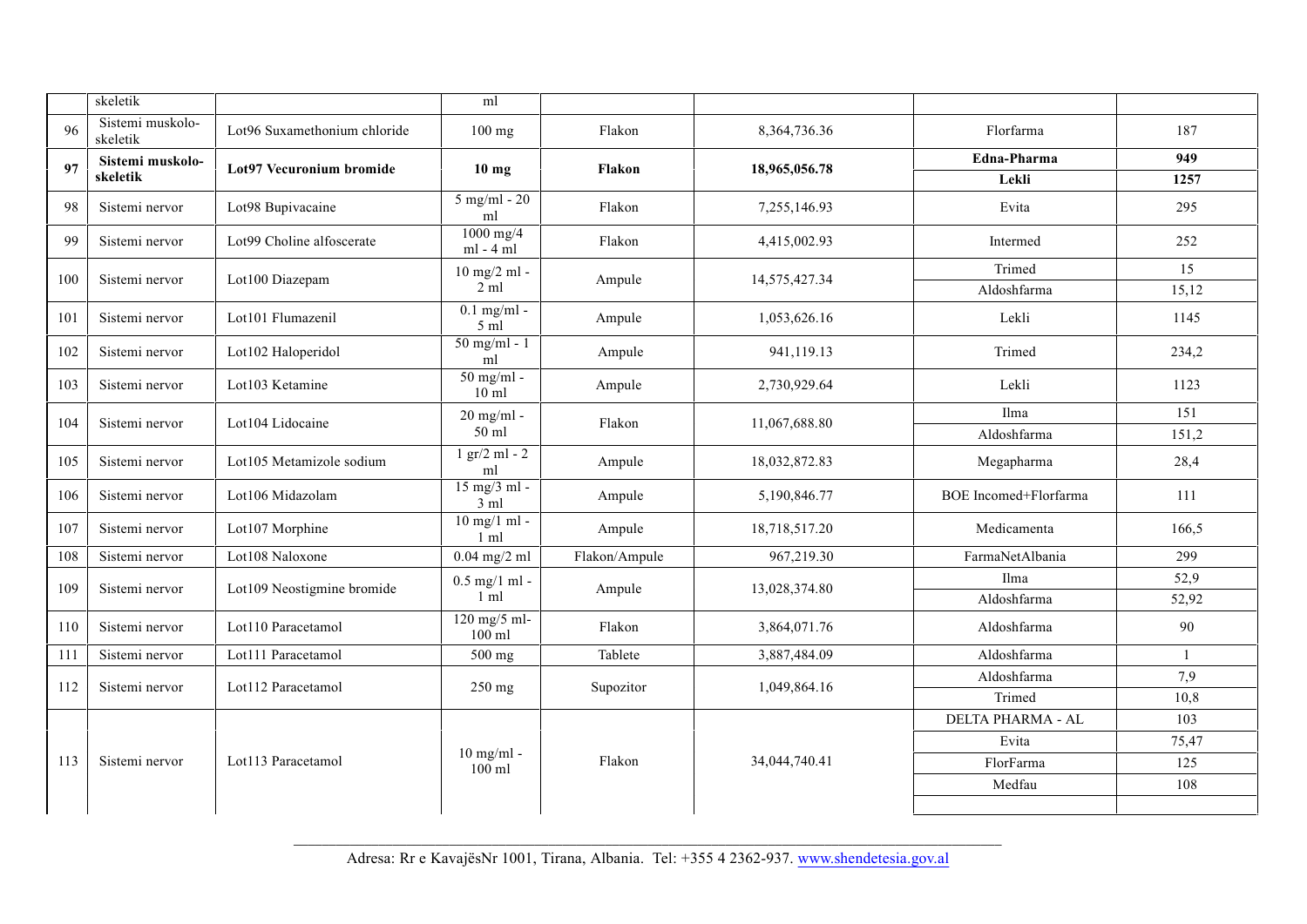|     | skeletik                     |                              | ml                                    |               |                 |                              |       |
|-----|------------------------------|------------------------------|---------------------------------------|---------------|-----------------|------------------------------|-------|
| 96  | Sistemi muskolo-<br>skeletik | Lot96 Suxamethonium chloride | $100$ mg                              | Flakon        | 8, 364, 736. 36 | Florfarma                    | 187   |
| 97  | Sistemi muskolo-             | Lot97 Vecuronium bromide     | $10 \text{ mg}$                       | Flakon        | 18,965,056.78   | Edna-Pharma                  | 949   |
|     | skeletik                     |                              |                                       |               |                 | Lekli                        | 1257  |
| 98  | Sistemi nervor               | Lot98 Bupivacaine            | $5$ mg/ml - 20<br>ml                  | Flakon        | 7,255,146.93    | Evita                        | 295   |
| 99  | Sistemi nervor               | Lot99 Choline alfoscerate    | $1000$ mg/4<br>$ml - 4 ml$            | Flakon        | 4,415,002.93    | Intermed                     | 252   |
| 100 | Sistemi nervor               | Lot100 Diazepam              | $10$ mg/2 ml -                        | Ampule        | 14,575,427.34   | Trimed                       | 15    |
|     |                              |                              | $2 \text{ ml}$                        |               |                 | Aldoshfarma                  | 15,12 |
| 101 | Sistemi nervor               | Lot101 Flumazenil            | $0.1$ mg/ml -<br>5 ml                 | Ampule        | 1,053,626.16    | Lekli                        | 1145  |
| 102 | Sistemi nervor               | Lot102 Haloperidol           | $50$ mg/ml - 1<br>ml                  | Ampule        | 941,119.13      | Trimed                       | 234,2 |
| 103 | Sistemi nervor               | Lot103 Ketamine              | $50$ mg/ml -<br>$10 \text{ ml}$       | Ampule        | 2,730,929.64    | Lekli                        | 1123  |
| 104 | Sistemi nervor               | Lot104 Lidocaine             | 20 mg/ml -                            | Flakon        | 11,067,688.80   | Ilma                         | 151   |
|     |                              |                              | 50 ml                                 |               |                 | Aldoshfarma                  | 151,2 |
| 105 | Sistemi nervor               | Lot105 Metamizole sodium     | $1 \text{ gr}/2 \text{ ml} - 2$<br>ml | Ampule        | 18,032,872.83   | Megapharma                   | 28,4  |
| 106 | Sistemi nervor               | Lot106 Midazolam             | $15$ mg/3 ml -<br>3 ml                | Ampule        | 5,190,846.77    | <b>BOE</b> Incomed+Florfarma | 111   |
| 107 | Sistemi nervor               | Lot107 Morphine              | $10$ mg/1 ml -<br>$1 \text{ ml}$      | Ampule        | 18,718,517.20   | Medicamenta                  | 166,5 |
| 108 | Sistemi nervor               | Lot108 Naloxone              | $0.04$ mg/2 ml                        | Flakon/Ampule | 967,219.30      | FarmaNetAlbania              | 299   |
| 109 | Sistemi nervor               | Lot109 Neostigmine bromide   | $0.5$ mg/1 ml -                       | Ampule        | 13,028,374.80   | Ilma                         | 52,9  |
|     |                              |                              | $1 \text{ ml}$                        |               |                 | Aldoshfarma                  | 52,92 |
| 110 | Sistemi nervor               | Lot110 Paracetamol           | 120 mg/5 ml-<br>100 ml                | Flakon        | 3,864,071.76    | Aldoshfarma                  | 90    |
| 111 | Sistemi nervor               | Lot111 Paracetamol           | 500 mg                                | Tablete       | 3,887,484.09    | Aldoshfarma                  | -1    |
| 112 | Sistemi nervor               | Lot112 Paracetamol           | 250 mg                                | Supozitor     | 1,049,864.16    | Aldoshfarma                  | 7,9   |
|     |                              |                              |                                       |               |                 | Trimed                       | 10,8  |
|     |                              |                              |                                       |               |                 | DELTA PHARMA - AL            | 103   |
|     |                              |                              | $10$ mg/ml -                          |               |                 | Evita                        | 75,47 |
| 113 | Sistemi nervor               | Lot113 Paracetamol           | $100$ ml                              | Flakon        | 34,044,740.41   | FlorFarma                    | 125   |
|     |                              |                              |                                       |               |                 | Medfau                       | 108   |
|     |                              |                              |                                       |               |                 |                              |       |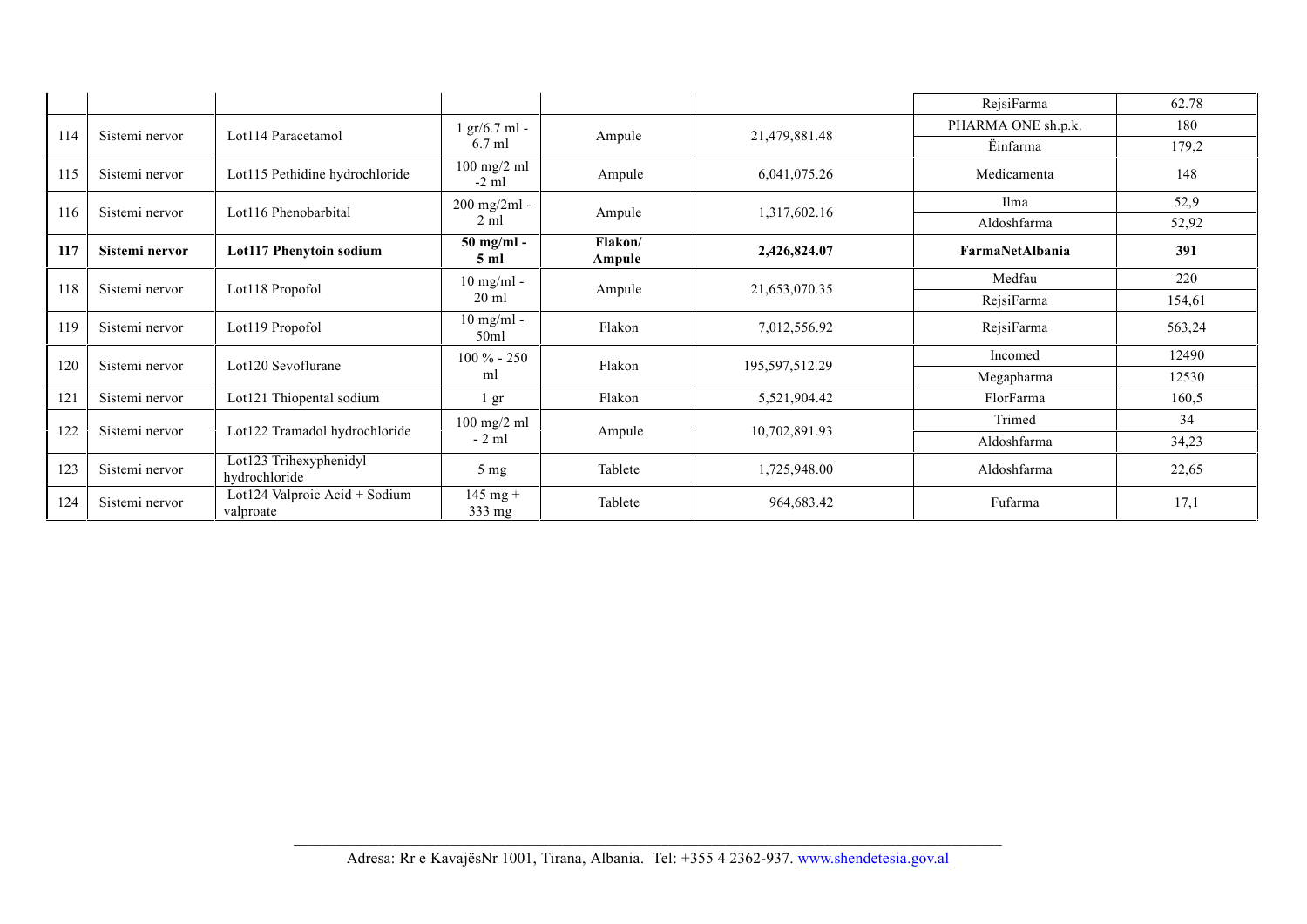|     |                |                                            |                                |                   |                | RejsiFarma         | 62.78  |
|-----|----------------|--------------------------------------------|--------------------------------|-------------------|----------------|--------------------|--------|
| 114 | Sistemi nervor | Lot114 Paracetamol                         | $gr/6.7$ ml -                  |                   |                | PHARMA ONE sh.p.k. | 180    |
|     |                |                                            | $6.7$ ml                       | Ampule            | 21,479,881.48  | Einfarma           | 179,2  |
| 115 | Sistemi nervor | Lot115 Pethidine hydrochloride             | $100$ mg/2 ml<br>$-2$ ml       | Ampule            | 6,041,075.26   | Medicamenta        | 148    |
| 116 | Sistemi nervor | Lot116 Phenobarbital                       | 200 mg/2ml -                   | Ampule            | 1,317,602.16   | Ilma               | 52,9   |
|     |                |                                            | $2 \text{ ml}$                 |                   |                | Aldoshfarma        | 52,92  |
| 117 | Sistemi nervor | Lot117 Phenytoin sodium                    | $50$ mg/ml -<br>$5 \text{ ml}$ | Flakon/<br>Ampule | 2,426,824.07   | FarmaNetAlbania    | 391    |
| 118 | Sistemi nervor | Lot118 Propofol                            | $10$ mg/ml -                   | Ampule            | 21,653,070.35  | Medfau             | 220    |
|     |                |                                            | $20 \text{ ml}$                |                   | RejsiFarma     | 154,61             |        |
| 119 | Sistemi nervor | Lot119 Propofol                            | $10$ mg/ml -<br>50ml           | Flakon            | 7,012,556.92   | RejsiFarma         | 563,24 |
| 120 | Sistemi nervor | Lot120 Sevoflurane                         | $100 \% - 250$                 | Flakon            | 195,597,512.29 | Incomed            | 12490  |
|     |                |                                            | ml                             |                   |                | Megapharma         | 12530  |
| 121 | Sistemi nervor | Lot121 Thiopental sodium                   | gr                             | Flakon            | 5,521,904.42   | FlorFarma          | 160,5  |
|     |                |                                            | $100$ mg/2 ml                  |                   |                | Trimed             | 34     |
| 122 | Sistemi nervor | Lot122 Tramadol hydrochloride              | $-2$ ml                        | Ampule            | 10,702,891.93  | Aldoshfarma        | 34,23  |
| 123 | Sistemi nervor | Lot123 Trihexyphenidyl<br>hydrochloride    | 5 <sub>mg</sub>                | Tablete           | 1,725,948.00   | Aldoshfarma        | 22,65  |
| 124 | Sistemi nervor | Lot124 Valproic Acid + Sodium<br>valproate | $145$ mg +<br>333 mg           | Tablete           | 964,683.42     | Fufarma            | 17,1   |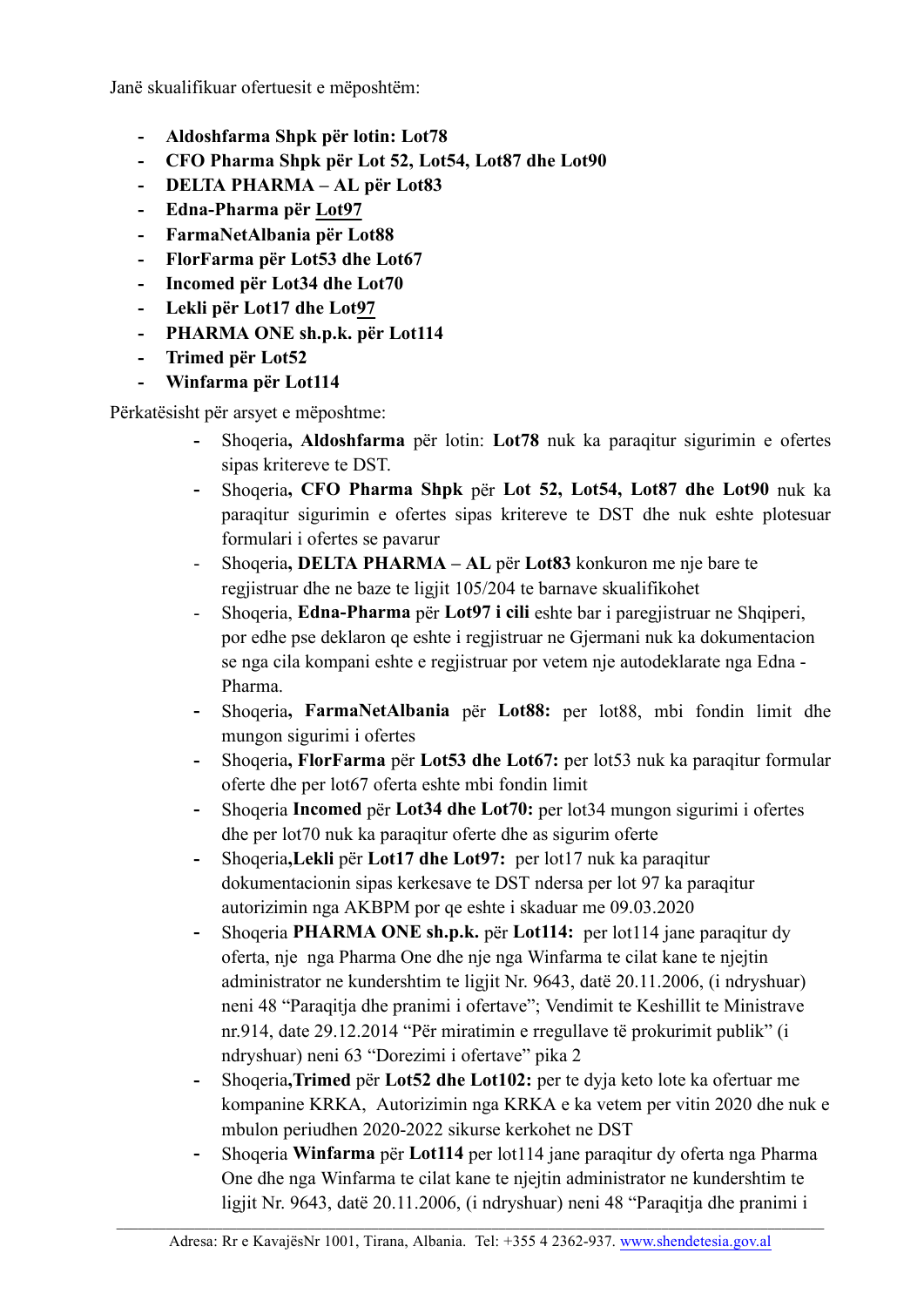Janë skualifikuar ofertuesit e mëposhtëm:

- **- Aldoshfarma Shpk për lotin: Lot78**
- **- CFO Pharma Shpk për Lot 52, Lot54, Lot87 dhe Lot90**
- **- DELTA PHARMA – AL për Lot83**
- **- Edna-Pharma për Lot97**
- **- FarmaNetAlbania për Lot88**
- **- FlorFarma për Lot53 dhe Lot67**
- **- Incomed për Lot34 dhe Lot70**
- **- Lekli për Lot17 dhe Lot97**
- **- PHARMA ONE sh.p.k. për Lot114**
- **- Trimed për Lot52**
- **- Winfarma për Lot114**

Përkatësisht për arsyet e mëposhtme:

- **-** Shoqeria**, Aldoshfarma** për lotin: **Lot78** nuk ka paraqitur sigurimin e ofertes sipas kritereve te DST.
- **-** Shoqeria**, CFO Pharma Shpk** për **Lot 52, Lot54, Lot87 dhe Lot90** nuk ka paraqitur sigurimin e ofertes sipas kritereve te DST dhe nuk eshte plotesuar formulari i ofertes se pavarur
- Shoqeria**, DELTA PHARMA – AL** për **Lot83** konkuron me nje bare te regjistruar dhe ne baze te ligjit 105/204 te barnave skualifikohet
- Shoqeria, **Edna-Pharma** për **Lot97 i cili** eshte bar i paregjistruar ne Shqiperi, por edhe pse deklaron qe eshte i regjistruar ne Gjermani nuk ka dokumentacion se nga cila kompani eshte e regjistruar por vetem nje autodeklarate nga Edna - Pharma.
- **-** Shoqeria**, FarmaNetAlbania** për **Lot88:** per lot88, mbi fondin limit dhe mungon sigurimi i ofertes
- **-** Shoqeria**, FlorFarma** për **Lot53 dhe Lot67:** per lot53 nuk ka paraqitur formular oferte dhe per lot67 oferta eshte mbi fondin limit
- **-** Shoqeria **Incomed** për **Lot34 dhe Lot70:** per lot34 mungon sigurimi i ofertes dhe per lot70 nuk ka paraqitur oferte dhe as sigurim oferte
- **-** Shoqeria**,Lekli** për **Lot17 dhe Lot97:** per lot17 nuk ka paraqitur dokumentacionin sipas kerkesave te DST ndersa per lot 97 ka paraqitur autorizimin nga AKBPM por qe eshte i skaduar me 09.03.2020
- **-** Shoqeria **PHARMA ONE sh.p.k.** për **Lot114:** per lot114 jane paraqitur dy oferta, nje nga Pharma One dhe nje nga Winfarma te cilat kane te njejtin administrator ne kundershtim te ligjit Nr. 9643, datë 20.11.2006, (i ndryshuar) neni 48 "Paraqitja dhe pranimi i ofertave"; Vendimit te Keshillit te Ministrave nr.914, date 29.12.2014 "Për miratimin e rregullave të prokurimit publik" (i ndryshuar) neni 63 "Dorezimi i ofertave" pika 2
- **-** Shoqeria**,Trimed** për **Lot52 dhe Lot102:** per te dyja keto lote ka ofertuar me kompanine KRKA, Autorizimin nga KRKA e ka vetem per vitin 2020 dhe nuk e mbulon periudhen 2020-2022 sikurse kerkohet ne DST
- **-** Shoqeria **Winfarma** për **Lot114** per lot114 jane paraqitur dy oferta nga Pharma One dhe nga Winfarma te cilat kane te njejtin administrator ne kundershtim te ligjit Nr. 9643, datë 20.11.2006, (i ndryshuar) neni 48 "Paraqitja dhe pranimi i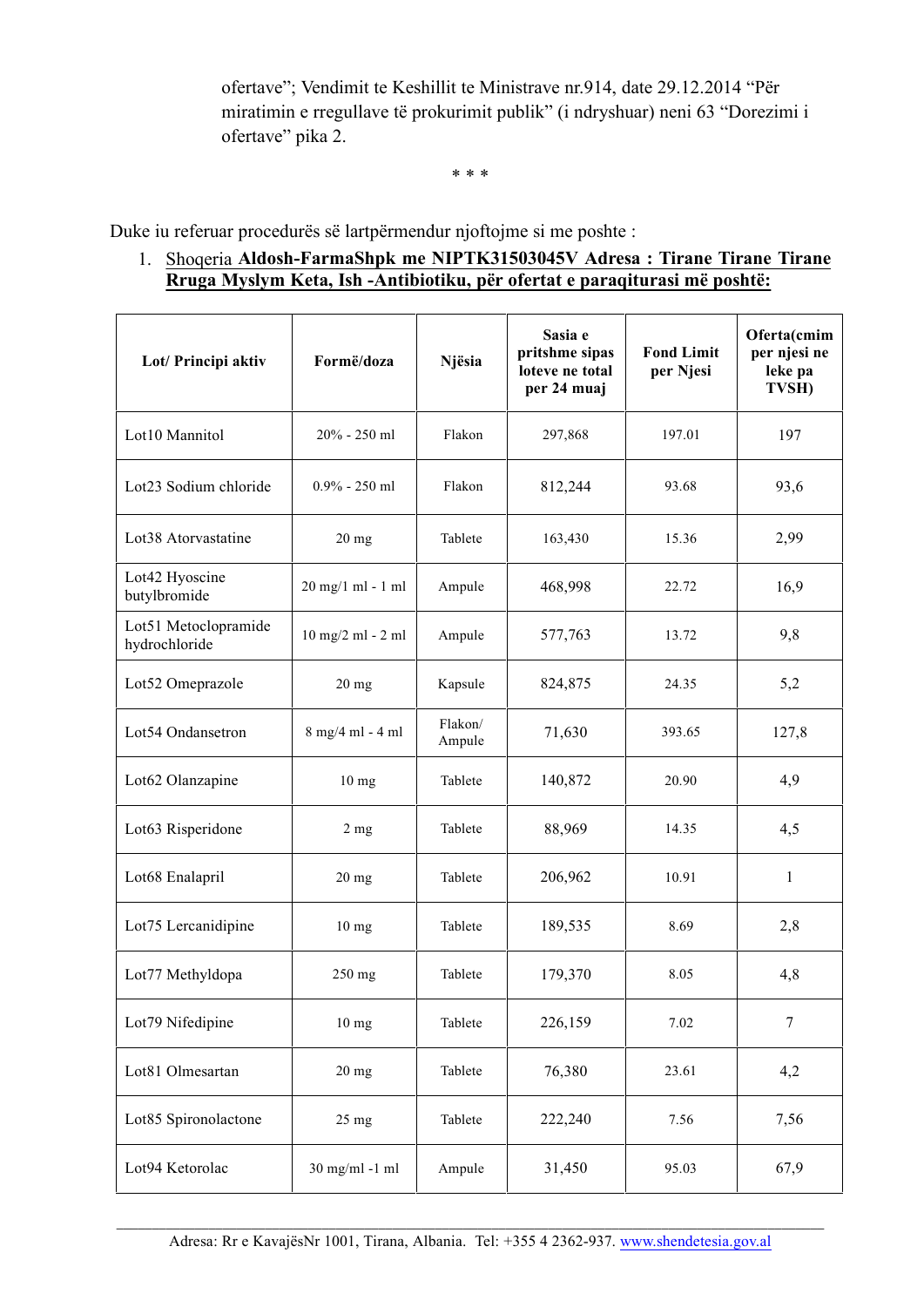ofertave"; Vendimit te Keshillit te Ministrave nr.914, date 29.12.2014 "Për miratimin e rregullave të prokurimit publik" (i ndryshuar) neni 63 "Dorezimi i ofertave" pika 2.

\* \* \*

Duke iu referuar procedurës së lartpërmendur njoftojme si me poshte :

1. Shoqeria **Aldosh-FarmaShpk me NIPTK31503045V Adresa : Tirane Tirane Tirane Rruga Myslym Keta, Ish -Antibiotiku, për ofertat e paraqiturasi më poshtë:**

| Lot/ Principi aktiv                   | Formë/doza          | Njësia            | Sasia e<br>pritshme sipas<br>loteve ne total<br>per 24 muaj | <b>Fond Limit</b><br>per Njesi | Oferta(cmim<br>per njesi ne<br>leke pa<br>TVSH) |
|---------------------------------------|---------------------|-------------------|-------------------------------------------------------------|--------------------------------|-------------------------------------------------|
| Lot10 Mannitol                        | 20% - 250 ml        | Flakon            | 297,868                                                     | 197.01                         | 197                                             |
| Lot23 Sodium chloride                 | $0.9\%$ - 250 ml    | Flakon            | 812,244                                                     | 93.68                          | 93,6                                            |
| Lot38 Atorvastatine                   | $20$ mg             | Tablete           | 163,430                                                     | 15.36                          | 2,99                                            |
| Lot42 Hyoscine<br>butylbromide        | 20 mg/1 ml - 1 ml   | Ampule            | 468,998                                                     | 22.72                          | 16,9                                            |
| Lot51 Metoclopramide<br>hydrochloride | $10$ mg/2 ml - 2 ml | Ampule            | 577,763                                                     | 13.72                          | 9,8                                             |
| Lot52 Omeprazole                      | $20$ mg             | Kapsule           | 824,875                                                     | 24.35                          | 5,2                                             |
| Lot54 Ondansetron                     | 8 mg/4 ml - 4 ml    | Flakon/<br>Ampule | 71,630                                                      | 393.65                         | 127,8                                           |
| Lot62 Olanzapine                      | 10 <sub>mg</sub>    | Tablete           | 140,872                                                     | 20.90                          | 4,9                                             |
| Lot63 Risperidone                     | 2 <sub>mg</sub>     | Tablete           | 88,969                                                      | 14.35                          | 4,5                                             |
| Lot68 Enalapril                       | $20$ mg             | Tablete           | 206,962                                                     | 10.91                          | 1                                               |
| Lot75 Lercanidipine                   | 10 <sub>mg</sub>    | Tablete           | 189,535                                                     | 8.69                           | 2,8                                             |
| Lot77 Methyldopa                      | 250 mg              | Tablete           | 179,370                                                     | 8.05                           | 4,8                                             |
| Lot79 Nifedipine                      | 10 <sub>mg</sub>    | Tablete           | 226,159                                                     | 7.02                           | $\overline{7}$                                  |
| Lot81 Olmesartan                      | $20$ mg             | Tablete           | 76,380                                                      | 23.61                          | 4,2                                             |
| Lot85 Spironolactone                  | 25 mg               | Tablete           | 222,240                                                     | 7.56                           | 7,56                                            |
| Lot94 Ketorolac                       | 30 mg/ml -1 ml      | Ampule            | 31,450                                                      | 95.03                          | 67,9                                            |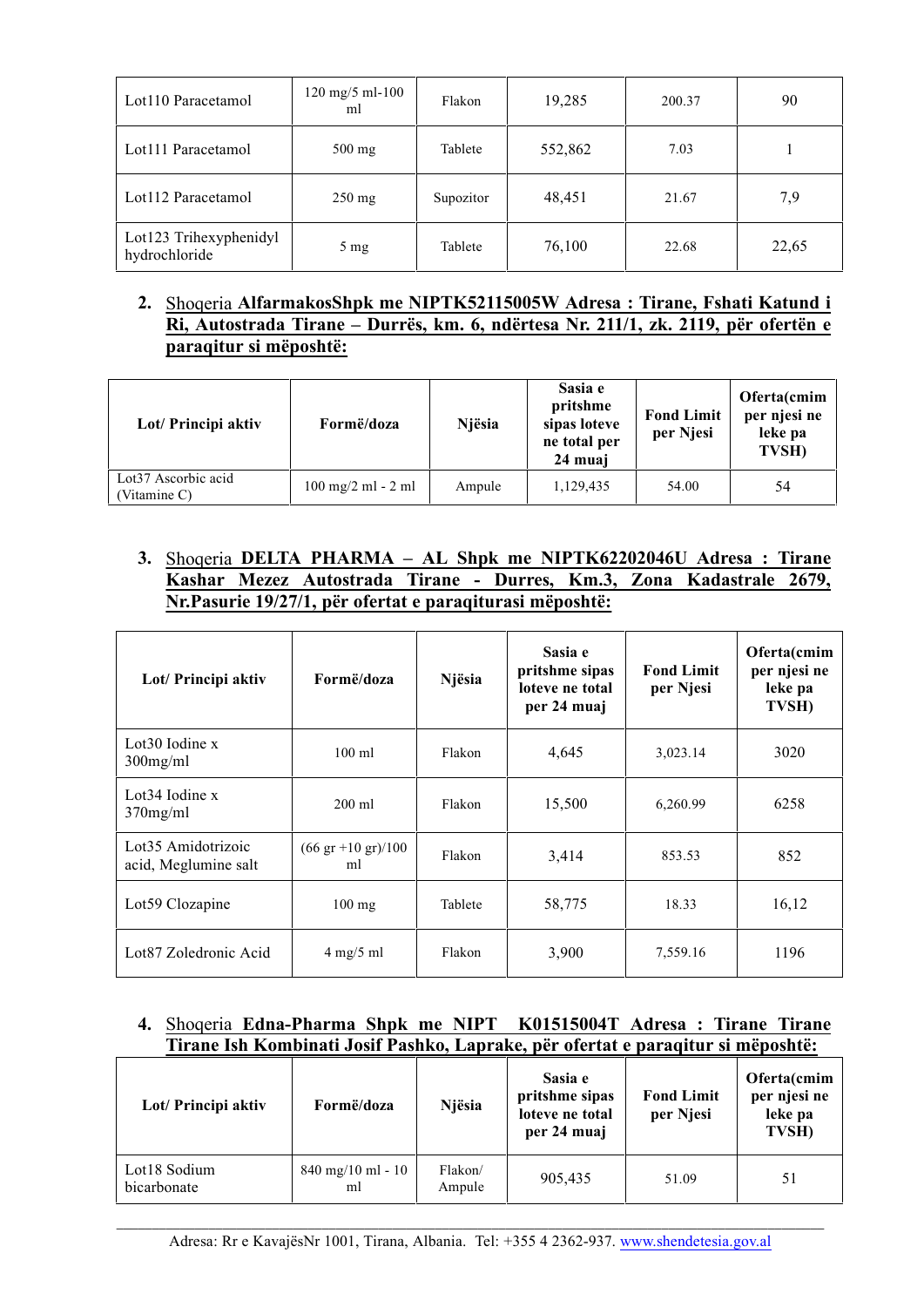| Lot110 Paracetamol                      | $120 \text{ mg}/5 \text{ ml} - 100$<br>ml | Flakon    | 19,285  | 200.37 | 90    |
|-----------------------------------------|-------------------------------------------|-----------|---------|--------|-------|
| Lot111 Paracetamol                      | $500$ mg                                  | Tablete   | 552,862 | 7.03   |       |
| Lot112 Paracetamol                      | $250 \text{ mg}$                          | Supozitor | 48,451  | 21.67  | 7,9   |
| Lot123 Trihexyphenidyl<br>hydrochloride | $5 \text{ mg}$                            | Tablete   | 76,100  | 22.68  | 22,65 |

# **2.** Shoqeria **AlfarmakosShpk me NIPTK52115005W Adresa : Tirane, Fshati Katund i Ri, Autostrada Tirane – Durrës, km. 6, ndërtesa Nr. 211/1, zk. 2119, për ofertën e paraqitur si mëposhtë:**

| Lot/ Principi aktiv                 | Formë/doza                                   | Njësia | Sasia e<br>pritshme<br>sipas loteve<br>ne total per<br>24 muai | <b>Fond Limit</b><br>per Njesi | Oferta(cmim<br>per njesi ne<br>leke pa<br>TVSH) |
|-------------------------------------|----------------------------------------------|--------|----------------------------------------------------------------|--------------------------------|-------------------------------------------------|
| Lot37 Ascorbic acid<br>(Vitamine C) | $100 \text{ mg}/2 \text{ ml} - 2 \text{ ml}$ | Ampule | 1,129,435                                                      | 54.00                          | 54                                              |

# **3.** Shoqeria **DELTA PHARMA – AL Shpk me NIPTK62202046U Adresa : Tirane Kashar Mezez Autostrada Tirane - Durres, Km.3, Zona Kadastrale 2679, Nr.Pasurie 19/27/1, për ofertat e paraqiturasi mëposhtë:**

| Lot/ Principi aktiv                        | Formë/doza                                  | Njësia  | Sasia e<br>pritshme sipas<br>loteve ne total<br>per 24 muaj | <b>Fond Limit</b><br>per Njesi | Oferta(cmim<br>per njesi ne<br>leke pa<br>TVSH) |
|--------------------------------------------|---------------------------------------------|---------|-------------------------------------------------------------|--------------------------------|-------------------------------------------------|
| Lot $30$ Iodine x<br>$300$ mg/ml           | $100 \text{ ml}$                            | Flakon  | 4,645                                                       | 3,023.14                       | 3020                                            |
| Lot $34$ Iodine x<br>$370$ mg/ml           | $200 \text{ ml}$                            | Flakon  | 15,500                                                      | 6,260.99                       | 6258                                            |
| Lot35 Amidotrizoic<br>acid, Meglumine salt | $(66 \text{ gr} + 10 \text{ gr})/100$<br>ml | Flakon  | 3,414                                                       | 853.53                         | 852                                             |
| Lot59 Clozapine                            | $100$ mg                                    | Tablete | 58,775                                                      | 18.33                          | 16,12                                           |
| Lot87 Zoledronic Acid                      | $4 \text{ mg}/5 \text{ ml}$                 | Flakon  | 3,900                                                       | 7,559.16                       | 1196                                            |

# **4.** Shoqeria **Edna-Pharma Shpk me NIPT K01515004T Adresa : Tirane Tirane Tirane Ish Kombinati Josif Pashko, Laprake, për ofertat e paraqitur si mëposhtë:**

| Lot/ Principi aktiv         | Formë/doza                                | Njësia            | Sasia e<br>pritshme sipas<br>loteve ne total<br>per 24 muaj | <b>Fond Limit</b><br>per Njesi | Oferta(cmim<br>per njesi ne<br>leke pa<br>TVSH) |
|-----------------------------|-------------------------------------------|-------------------|-------------------------------------------------------------|--------------------------------|-------------------------------------------------|
| Lot18 Sodium<br>bicarbonate | $840 \text{ mg}/10 \text{ ml} - 10$<br>ml | Flakon/<br>Ampule | 905,435                                                     | 51.09                          | 51                                              |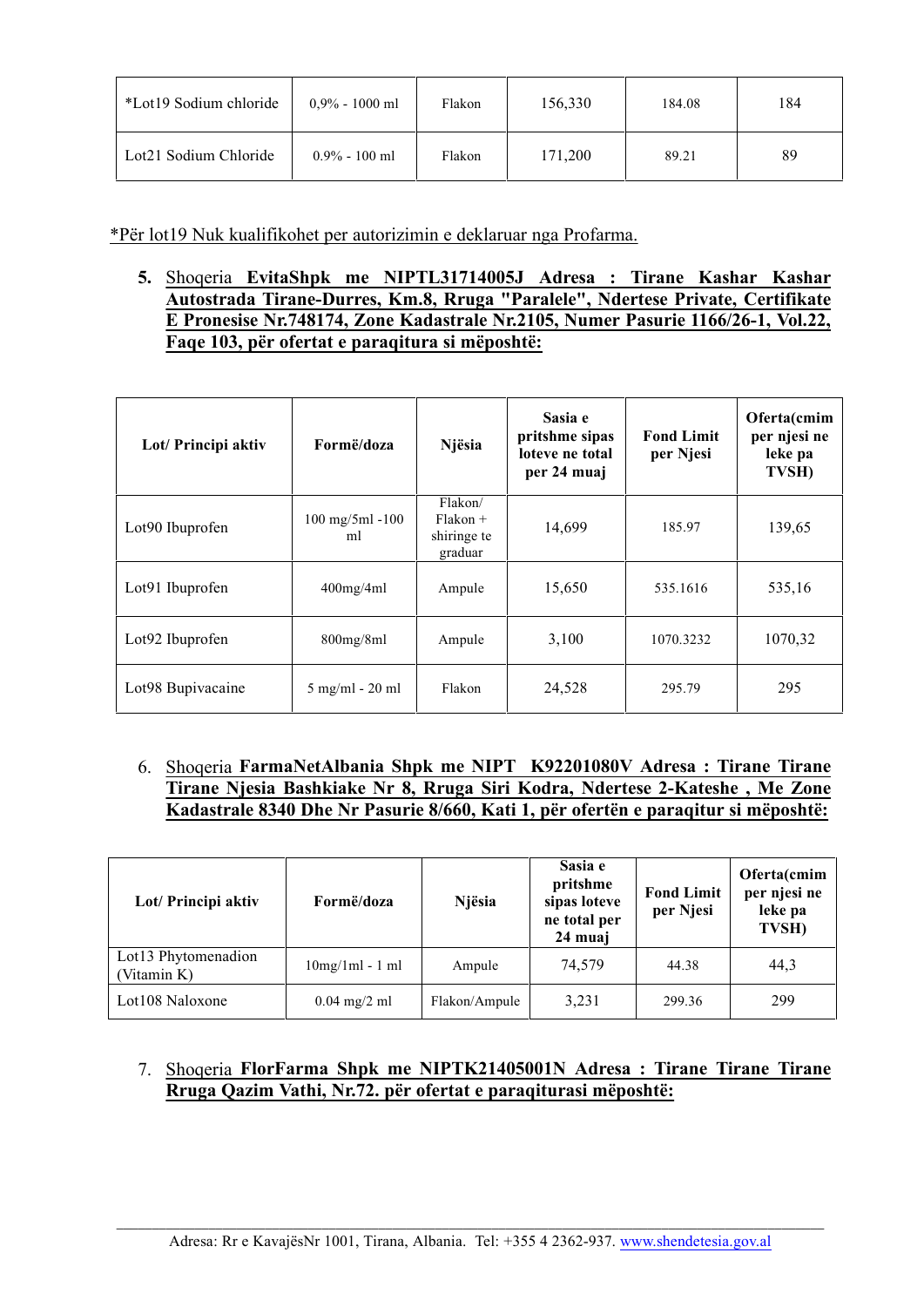| *Lot19 Sodium chloride | $0.9\% - 1000$ ml | Flakon | 156,330 | 184.08 | 184 |
|------------------------|-------------------|--------|---------|--------|-----|
| Lot21 Sodium Chloride  | $0.9\% - 100$ ml  | Flakon | 171,200 | 89.21  | 89  |

\*Për lot19 Nuk kualifikohet per autorizimin e deklaruar nga Profarma.

**5.** Shoqeria **EvitaShpk me NIPTL31714005J Adresa : Tirane Kashar Kashar Autostrada Tirane-Durres, Km.8, Rruga "Paralele", Ndertese Private, Certifikate E Pronesise Nr.748174, Zone Kadastrale Nr.2105, Numer Pasurie 1166/26-1, Vol.22, Faqe 103, për ofertat e paraqitura si mëposhtë:**

| Lot/ Principi aktiv | Formë/doza                               | Njësia                                          | Sasia e<br>pritshme sipas<br>loteve ne total<br>per 24 muaj | <b>Fond Limit</b><br>per Njesi | Oferta(cmim<br>per njesi ne<br>leke pa<br>TVSH) |
|---------------------|------------------------------------------|-------------------------------------------------|-------------------------------------------------------------|--------------------------------|-------------------------------------------------|
| Lot90 Ibuprofen     | $100 \text{ mg}/5 \text{ml} - 100$<br>ml | Flakon/<br>$Flakon +$<br>shiringe te<br>graduar | 14,699                                                      | 185.97                         | 139,65                                          |
| Lot91 Ibuprofen     | $400$ mg/4ml                             | Ampule                                          | 15,650                                                      | 535.1616                       | 535,16                                          |
| Lot92 Ibuprofen     | 800mg/8ml                                | Ampule                                          | 3,100                                                       | 1070.3232                      | 1070,32                                         |
| Lot98 Bupivacaine   | $5 \text{ mg/ml} - 20 \text{ ml}$        | Flakon                                          | 24,528                                                      | 295.79                         | 295                                             |

6. Shoqeria **FarmaNetAlbania Shpk me NIPT K92201080V Adresa : Tirane Tirane Tirane Njesia Bashkiake Nr 8, Rruga Siri Kodra, Ndertese 2-Kateshe , Me Zone Kadastrale 8340 Dhe Nr Pasurie 8/660, Kati 1, për ofertën e paraqitur si mëposhtë:**

| Lot/ Principi aktiv                | Formë/doza        | Njësia        | Sasia e<br>pritshme<br>sipas loteve<br>ne total per<br>24 muaj | <b>Fond Limit</b><br>per Njesi | Oferta(cmim<br>per njesi ne<br>leke pa<br>TVSH) |
|------------------------------------|-------------------|---------------|----------------------------------------------------------------|--------------------------------|-------------------------------------------------|
| Lot13 Phytomenadion<br>(Vitamin K) | $10mg/1ml - 1 ml$ | Ampule        | 74.579                                                         | 44.38                          | 44,3                                            |
| Lot108 Naloxone                    | $0.04$ mg/2 ml    | Flakon/Ampule | 3,231                                                          | 299.36                         | 299                                             |

# 7. Shoqeria **FlorFarma Shpk me NIPTK21405001N Adresa : Tirane Tirane Tirane Rruga Qazim Vathi, Nr.72. për ofertat e paraqiturasi mëposhtë:**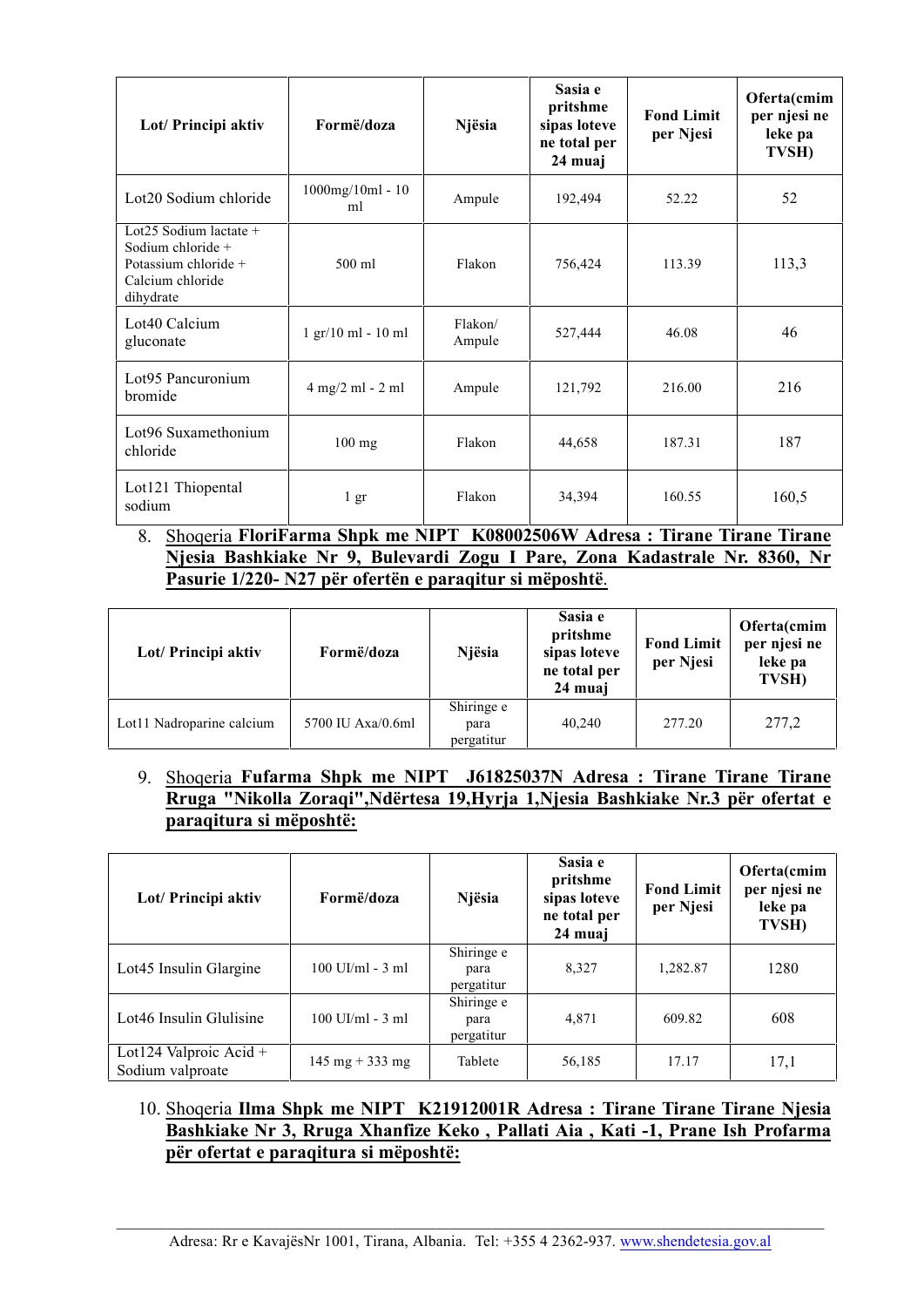| Lot/ Principi aktiv                                                                                    | Formë/doza                                 | Njësia            | Sasia e<br>pritshme<br>sipas loteve<br>ne total per<br>24 muaj | <b>Fond Limit</b><br>per Njesi | Oferta(cmim<br>per njesi ne<br>leke pa<br>TVSH) |
|--------------------------------------------------------------------------------------------------------|--------------------------------------------|-------------------|----------------------------------------------------------------|--------------------------------|-------------------------------------------------|
| Lot20 Sodium chloride                                                                                  | $1000$ mg/ $10$ ml - $10$<br>ml            | Ampule            | 192,494                                                        | 52.22                          | 52                                              |
| Lot25 Sodium lactate $+$<br>Sodium chloride +<br>Potassium chloride +<br>Calcium chloride<br>dihydrate | 500 ml                                     | Flakon            | 756,424                                                        | 113.39                         | 113,3                                           |
| Lot40 Calcium<br>gluconate                                                                             | 1 gr/10 ml - 10 ml                         | Flakon/<br>Ampule | 527,444                                                        | 46.08                          | 46                                              |
| Lot95 Pancuronium<br>bromide                                                                           | $4 \text{ mg}/2 \text{ ml} - 2 \text{ ml}$ | Ampule            | 121,792                                                        | 216.00                         | 216                                             |
| Lot96 Suxamethonium<br>chloride                                                                        | $100$ mg                                   | Flakon            | 44,658                                                         | 187.31                         | 187                                             |
| Lot121 Thiopental<br>sodium                                                                            | $1 \text{ gr}$                             | Flakon            | 34,394                                                         | 160.55                         | 160,5                                           |

# 8. Shoqeria **FloriFarma Shpk me NIPT K08002506W Adresa : Tirane Tirane Tirane Njesia Bashkiake Nr 9, Bulevardi Zogu I Pare, Zona Kadastrale Nr. 8360, Nr Pasurie 1/220- N27 për ofertën e paraqitur si mëposhtë**.

| Lot/ Principi aktiv       | Formë/doza        | Njësia                           | Sasia e<br>pritshme<br>sipas loteve<br>ne total per<br>24 muaj | <b>Fond Limit</b><br>per Njesi | Oferta(cmim<br>per njesi ne<br>leke pa<br>TVSH) |
|---------------------------|-------------------|----------------------------------|----------------------------------------------------------------|--------------------------------|-------------------------------------------------|
| Lot11 Nadroparine calcium | 5700 IU Axa/0.6ml | Shiringe e<br>para<br>pergatitur | 40.240                                                         | 277.20                         | 277,2                                           |

# 9. Shoqeria **Fufarma Shpk me NIPT J61825037N Adresa : Tirane Tirane Tirane Rruga "Nikolla Zoraqi",Ndërtesa 19,Hyrja 1,Njesia Bashkiake Nr.3 për ofertat e paraqitura si mëposhtë:**

| Lot/ Principi aktiv                        | Formë/doza                        | Njësia                           | Sasia e<br>pritshme<br>sipas loteve<br>ne total per<br>24 muaj | <b>Fond Limit</b><br>per Njesi | Oferta(cmim<br>per njesi ne<br>leke pa<br>TVSH) |
|--------------------------------------------|-----------------------------------|----------------------------------|----------------------------------------------------------------|--------------------------------|-------------------------------------------------|
| Lot45 Insulin Glargine                     | $100$ UI/ml - $3$ ml              | Shiringe e<br>para<br>pergatitur | 8,327                                                          | 1,282.87                       | 1280                                            |
| Lot46 Insulin Glulisine                    | $100$ UI/ml - $3$ ml              | Shiringe e<br>para<br>pergatitur | 4,871                                                          | 609.82                         | 608                                             |
| Lot124 Valproic Acid +<br>Sodium valproate | $145 \text{ mg} + 333 \text{ mg}$ | Tablete                          | 56,185                                                         | 17.17                          | 17,1                                            |

# 10. Shoqeria **Ilma Shpk me NIPT K21912001R Adresa : Tirane Tirane Tirane Njesia Bashkiake Nr 3, Rruga Xhanfize Keko , Pallati Aia , Kati -1, Prane Ish Profarma për ofertat e paraqitura si mëposhtë:**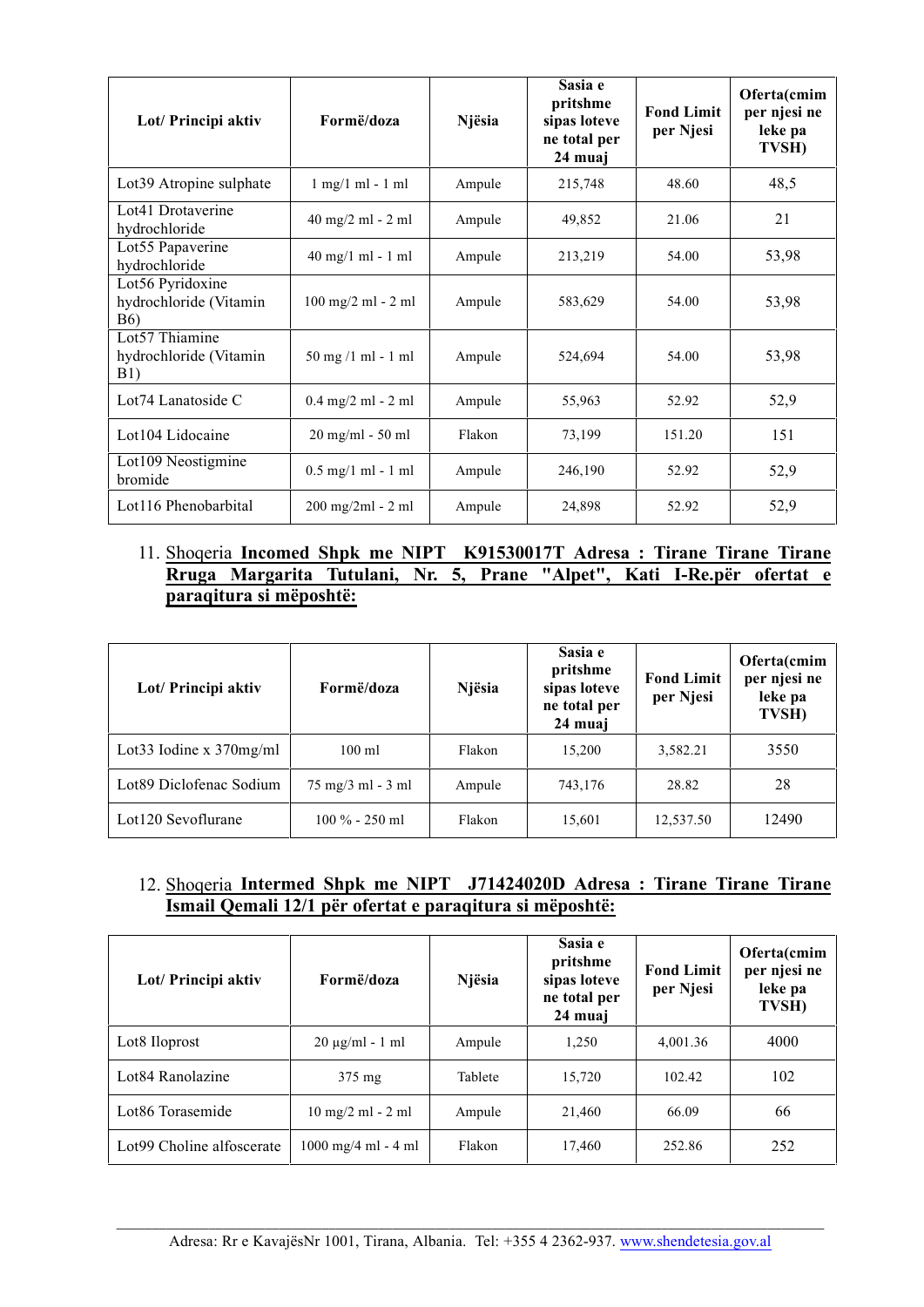| Lot/ Principi aktiv                                       | Formë/doza                                     | Njësia | Sasia e<br>pritshme<br>sipas loteve<br>ne total per<br>24 muai | <b>Fond Limit</b><br>per Njesi | Oferta(cmim<br>per njesi ne<br>leke pa<br>TVSH) |
|-----------------------------------------------------------|------------------------------------------------|--------|----------------------------------------------------------------|--------------------------------|-------------------------------------------------|
| Lot39 Atropine sulphate                                   | $1$ mg/ $1$ m $1$ - $1$ m $1$                  | Ampule | 215,748                                                        | 48.60                          | 48,5                                            |
| Lot41 Drotaverine<br>hydrochloride                        | $40$ mg/2 ml - 2 ml                            | Ampule | 49,852                                                         | 21.06                          | 21                                              |
| Lot55 Papaverine<br>hydrochloride                         | $40 \text{ mg}/1 \text{ ml} - 1 \text{ ml}$    | Ampule | 213,219                                                        | 54.00                          | 53,98                                           |
| Lot56 Pyridoxine<br>hydrochloride (Vitamin<br><b>B6</b> ) | 100 mg/2 ml - 2 ml                             | Ampule | 583,629                                                        | 54.00                          | 53,98                                           |
| Lot57 Thiamine<br>hydrochloride (Vitamin<br>B1)           | $50 \text{ mg } / 1 \text{ ml} - 1 \text{ ml}$ | Ampule | 524,694                                                        | 54.00                          | 53,98                                           |
| Lot74 Lanatoside C                                        | $0.4$ mg/2 ml - 2 ml                           | Ampule | 55,963                                                         | 52.92                          | 52,9                                            |
| Lot104 Lidocaine                                          | 20 mg/ml - 50 ml                               | Flakon | 73,199                                                         | 151.20                         | 151                                             |
| Lot109 Neostigmine<br>bromide                             | $0.5$ mg/1 ml - 1 ml                           | Ampule | 246,190                                                        | 52.92                          | 52,9                                            |
| Lot116 Phenobarbital                                      | $200$ mg/2ml - 2 ml                            | Ampule | 24,898                                                         | 52.92                          | 52,9                                            |

# 11. Shoqeria **Incomed Shpk me NIPT K91530017T Adresa : Tirane Tirane Tirane Rruga Margarita Tutulani, Nr. 5, Prane "Alpet", Kati I-Re.për ofertat e paraqitura si mëposhtë:**

| Lot/ Principi aktiv         | Formë/doza        | Njësia | Sasia e<br>pritshme<br>sipas loteve<br>ne total per<br>24 muaj | <b>Fond Limit</b><br>per Njesi | Oferta(cmim<br>per njesi ne<br>leke pa<br>TVSH) |
|-----------------------------|-------------------|--------|----------------------------------------------------------------|--------------------------------|-------------------------------------------------|
| Lot 33 Iodine $x$ 370 mg/ml | $100 \text{ ml}$  | Flakon | 15,200                                                         | 3,582.21                       | 3550                                            |
| Lot89 Diclofenac Sodium     | 75 mg/3 ml - 3 ml | Ampule | 743,176                                                        | 28.82                          | 28                                              |
| Lot120 Sevoflurane          | $100\% - 250$ ml  | Flakon | 15,601                                                         | 12,537.50                      | 12490                                           |

#### 12. Shoqeria **Intermed Shpk me NIPT J71424020D Adresa : Tirane Tirane Tirane Ismail Qemali 12/1 për ofertat e paraqitura si mëposhtë:**

| Lot/ Principi aktiv       | Formë/doza                                    | Njësia  | Sasia e<br>pritshme<br>sipas loteve<br>ne total per<br>24 muai | <b>Fond Limit</b><br>per Njesi | Oferta(cmim<br>per njesi ne<br>leke pa<br>TVSH) |
|---------------------------|-----------------------------------------------|---------|----------------------------------------------------------------|--------------------------------|-------------------------------------------------|
| Lot <sub>8</sub> Iloprost | $20 \mu g/ml - 1 ml$                          | Ampule  | 1.250                                                          | 4.001.36                       | 4000                                            |
| Lot84 Ranolazine          | $375 \text{ mg}$                              | Tablete | 15,720                                                         | 102.42                         | 102                                             |
| Lot86 Torasemide          | $10 \text{ mg}/2 \text{ ml} - 2 \text{ ml}$   | Ampule  | 21,460                                                         | 66.09                          | 66                                              |
| Lot99 Choline alfoscerate | $1000 \text{ mg}/4 \text{ ml} - 4 \text{ ml}$ | Flakon  | 17,460                                                         | 252.86                         | 252                                             |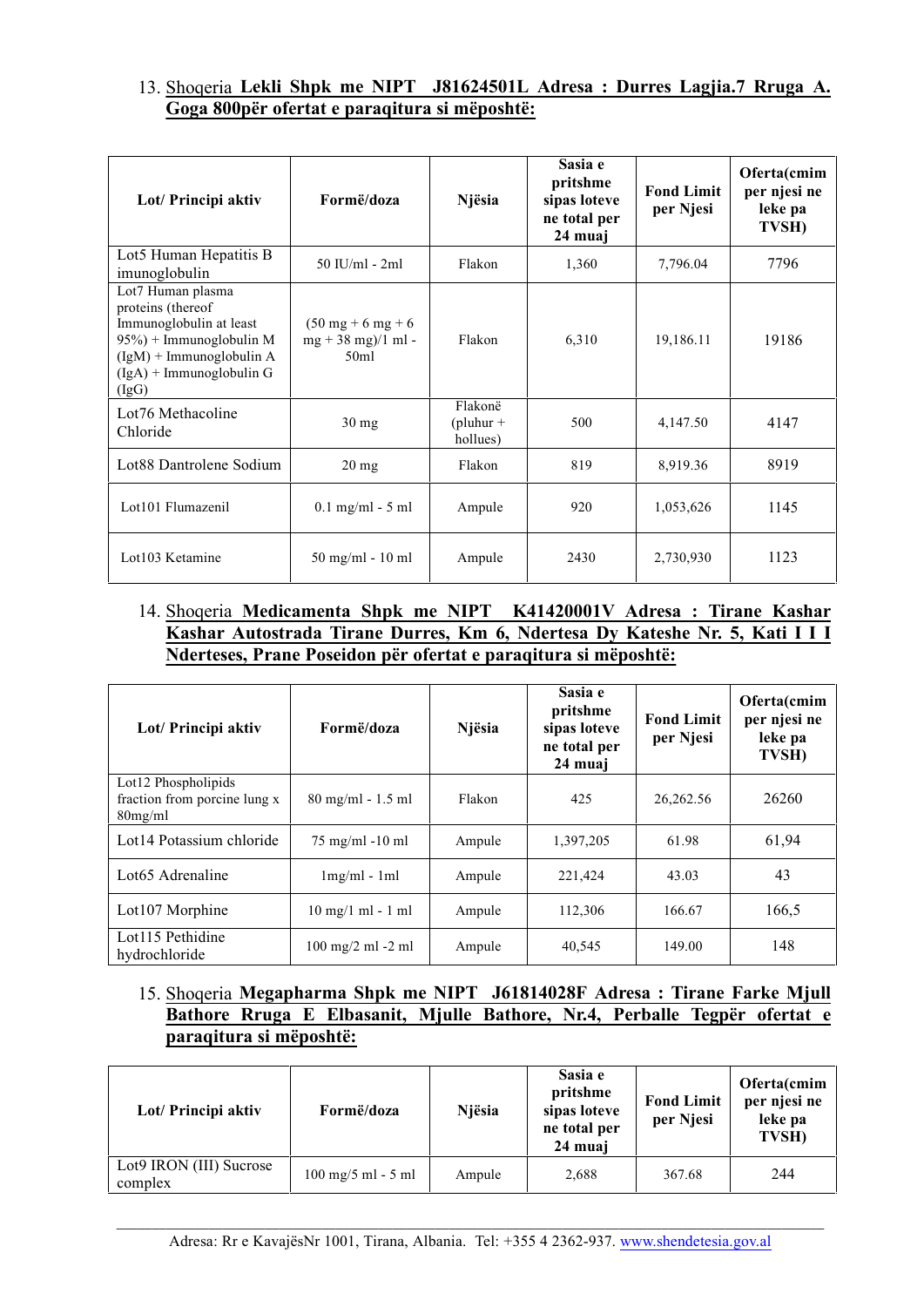#### 13. Shoqeria **Lekli Shpk me NIPT J81624501L Adresa : Durres Lagjia.7 Rruga A. Goga 800për ofertat e paraqitura si mëposhtë:**

| Lot/ Principi aktiv                                                                                                                                               | Formë/doza                                                                       | Njësia                             | Sasia e<br>pritshme<br>sipas loteve<br>ne total per<br>24 muaj | <b>Fond Limit</b><br>per Njesi | Oferta(cmim<br>per njesi ne<br>leke pa<br>TVSH) |
|-------------------------------------------------------------------------------------------------------------------------------------------------------------------|----------------------------------------------------------------------------------|------------------------------------|----------------------------------------------------------------|--------------------------------|-------------------------------------------------|
| Lot5 Human Hepatitis B<br>imunoglobulin                                                                                                                           | $50$ IU/ml - $2ml$                                                               | Flakon                             | 1,360                                                          | 7,796.04                       | 7796                                            |
| Lot7 Human plasma<br>proteins (thereof<br>Immunoglobulin at least<br>95%) + Immunoglobulin M<br>$(IgM)$ + Immunoglobulin A<br>$(IgA)$ + Immunoglobulin G<br>(IgG) | $(50 \text{ mg} + 6 \text{ mg} + 6)$<br>$mg + 38$ mg)/1 ml -<br>50 <sub>m1</sub> | Flakon                             | 6,310                                                          | 19,186.11                      | 19186                                           |
| Lot76 Methacoline<br>Chloride                                                                                                                                     | $30 \text{ mg}$                                                                  | Flakonë<br>$(pluhur +$<br>hollues) | 500                                                            | 4,147.50                       | 4147                                            |
| Lot88 Dantrolene Sodium                                                                                                                                           | $20$ mg                                                                          | Flakon                             | 819                                                            | 8,919.36                       | 8919                                            |
| Lot101 Flumazenil                                                                                                                                                 | $0.1$ mg/ml - 5 ml                                                               | Ampule                             | 920                                                            | 1,053,626                      | 1145                                            |
| Lot103 Ketamine                                                                                                                                                   | $50 \text{ mg/ml} - 10 \text{ ml}$                                               | Ampule                             | 2430                                                           | 2,730,930                      | 1123                                            |

# 14. Shoqeria **Medicamenta Shpk me NIPT K41420001V Adresa : Tirane Kashar Kashar Autostrada Tirane Durres, Km 6, Ndertesa Dy Kateshe Nr. 5, Kati I I I Nderteses, Prane Poseidon për ofertat e paraqitura si mëposhtë:**

| Lot/ Principi aktiv                                               | Formë/doza                                  | Njësia | Sasia e<br>pritshme<br>sipas loteve<br>ne total per<br>24 muai | <b>Fond Limit</b><br>per Njesi | Oferta(cmim<br>per njesi ne<br>leke pa<br>TVSH) |
|-------------------------------------------------------------------|---------------------------------------------|--------|----------------------------------------------------------------|--------------------------------|-------------------------------------------------|
| Lot12 Phospholipids<br>fraction from porcine lung x<br>$80$ mg/ml | $80 \text{ mg/ml} - 1.5 \text{ ml}$         | Flakon | 425                                                            | 26,262.56                      | 26260                                           |
| Lot14 Potassium chloride                                          | $75 \text{ mg/ml} - 10 \text{ ml}$          | Ampule | 1,397,205                                                      | 61.98                          | 61,94                                           |
| Lot <sub>65</sub> Adrenaline                                      | $1mg/ml - 1ml$                              | Ampule | 221.424                                                        | 43.03                          | 43                                              |
| Lot107 Morphine                                                   | $10 \text{ mg}/1 \text{ ml} - 1 \text{ ml}$ | Ampule | 112,306                                                        | 166.67                         | 166,5                                           |
| Lot115 Pethidine<br>hydrochloride                                 | 100 mg/2 ml -2 ml                           | Ampule | 40,545                                                         | 149.00                         | 148                                             |

#### 15. Shoqeria **Megapharma Shpk me NIPT J61814028F Adresa : Tirane Farke Mjull Bathore Rruga E Elbasanit, Mjulle Bathore, Nr.4, Perballe Tegpër ofertat e paraqitura si mëposhtë:**

| Lot/ Principi aktiv                | Formë/doza                                   | Njësia | Sasia e<br>pritshme<br>sipas loteve<br>ne total per<br>24 muai | <b>Fond Limit</b><br>per Njesi | Oferta(cmim<br>per njesi ne<br>leke pa<br>TVSH) |
|------------------------------------|----------------------------------------------|--------|----------------------------------------------------------------|--------------------------------|-------------------------------------------------|
| Lot9 IRON (III) Sucrose<br>complex | $100 \text{ mg}/5 \text{ ml} - 5 \text{ ml}$ | Ampule | 2,688                                                          | 367.68                         | 244                                             |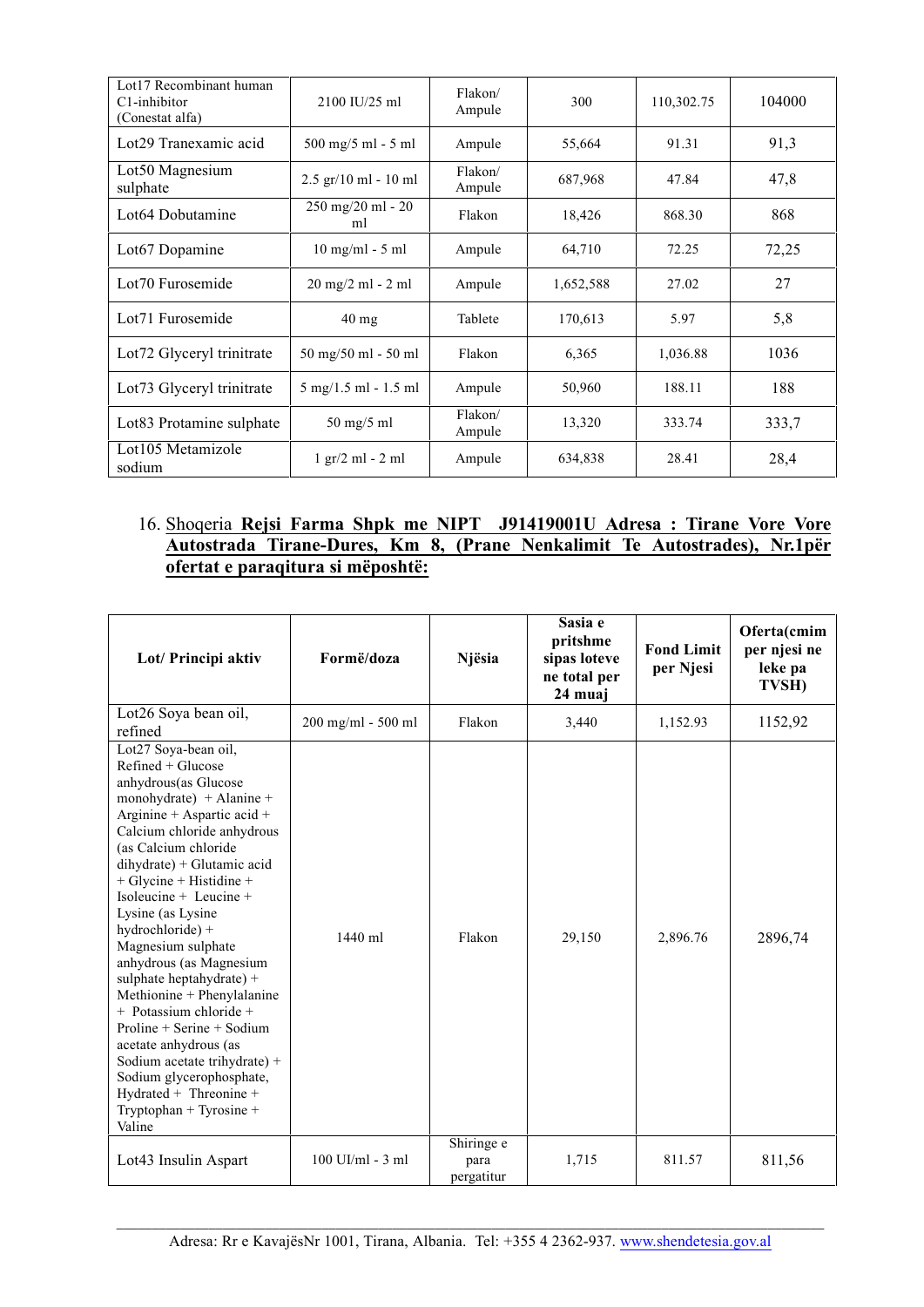| Lot17 Recombinant human<br>C1-inhibitor<br>(Conestat alfa) | 2100 IU/25 ml                                  | Flakon/<br>Ampule | 300       | 110,302.75 | 104000 |
|------------------------------------------------------------|------------------------------------------------|-------------------|-----------|------------|--------|
| Lot29 Tranexamic acid                                      | $500 \text{ mg}/5 \text{ ml} - 5 \text{ ml}$   | Ampule            | 55,664    | 91.31      | 91,3   |
| Lot50 Magnesium<br>sulphate                                | $2.5$ gr/10 ml - 10 ml                         | Flakon/<br>Ampule | 687,968   | 47.84      | 47,8   |
| Lot <sub>64</sub> Dobutamine                               | $250 \text{ mg}/20 \text{ ml} - 20$<br>ml      | Flakon            | 18,426    | 868.30     | 868    |
| Lot67 Dopamine                                             | $10$ mg/ml - 5 ml                              | Ampule            | 64,710    | 72.25      | 72,25  |
| Lot70 Furosemide                                           | 20 mg/2 ml - 2 ml                              | Ampule            | 1,652,588 | 27.02      | 27     |
| Lot <sub>71</sub> Furosemide                               | 40 mg                                          | Tablete           | 170,613   | 5.97       | 5,8    |
| Lot72 Glyceryl trinitrate                                  | 50 mg/50 ml - 50 ml                            | Flakon            | 6,365     | 1,036.88   | 1036   |
| Lot73 Glyceryl trinitrate                                  | $5 \text{ mg}/1.5 \text{ ml} - 1.5 \text{ ml}$ | Ampule            | 50,960    | 188.11     | 188    |
| Lot83 Protamine sulphate                                   | 50 mg/5 ml                                     | Flakon/<br>Ampule | 13,320    | 333.74     | 333,7  |
| Lot105 Metamizole<br>sodium                                | $1 \text{ gr}/2 \text{ ml} - 2 \text{ ml}$     | Ampule            | 634,838   | 28.41      | 28,4   |

# 16. Shoqeria **Rejsi Farma Shpk me NIPT J91419001U Adresa : Tirane Vore Vore Autostrada Tirane-Dures, Km 8, (Prane Nenkalimit Te Autostrades), Nr.1për ofertat e paraqitura si mëposhtë:**

| Lot/ Principi aktiv                                                                                                                                                                                                                                                                                                                                                                                                                                                                                                                                                                                                                        | Formë/doza           | Njësia                           | Sasia e<br>pritshme<br>sipas loteve<br>ne total per<br>24 muaj | <b>Fond Limit</b><br>per Njesi | Oferta(cmim<br>per njesi ne<br>leke pa<br>TVSH) |
|--------------------------------------------------------------------------------------------------------------------------------------------------------------------------------------------------------------------------------------------------------------------------------------------------------------------------------------------------------------------------------------------------------------------------------------------------------------------------------------------------------------------------------------------------------------------------------------------------------------------------------------------|----------------------|----------------------------------|----------------------------------------------------------------|--------------------------------|-------------------------------------------------|
| Lot26 Soya bean oil,<br>refined                                                                                                                                                                                                                                                                                                                                                                                                                                                                                                                                                                                                            | 200 mg/ml - 500 ml   | Flakon                           | 3,440                                                          | 1,152.93                       | 1152,92                                         |
| Lot27 Soya-bean oil,<br>$Refined + Glucose$<br>anhydrous(as Glucose<br>monohydrate) + Alanine +<br>Arginine + Aspartic acid +<br>Calcium chloride anhydrous<br>(as Calcium chloride)<br>dihydrate) + Glutamic acid<br>$+$ Glycine + Histidine +<br>Isoleucine + Leucine +<br>Lysine (as Lysine<br>hydrochloride) +<br>Magnesium sulphate<br>anhydrous (as Magnesium<br>sulphate heptahydrate) +<br>Methionine + Phenylalanine<br>+ Potassium chloride +<br>$Proline + Serine + Sodium$<br>acetate anhydrous (as<br>Sodium acetate trihydrate) +<br>Sodium glycerophosphate,<br>Hydrated + Threonine +<br>Tryptophan + Tyrosine +<br>Valine | 1440 ml              | Flakon                           | 29,150                                                         | 2,896.76                       | 2896,74                                         |
| Lot <sup>43</sup> Insulin Aspart                                                                                                                                                                                                                                                                                                                                                                                                                                                                                                                                                                                                           | $100$ UI/ml - $3$ ml | Shiringe e<br>para<br>pergatitur | 1,715                                                          | 811.57                         | 811,56                                          |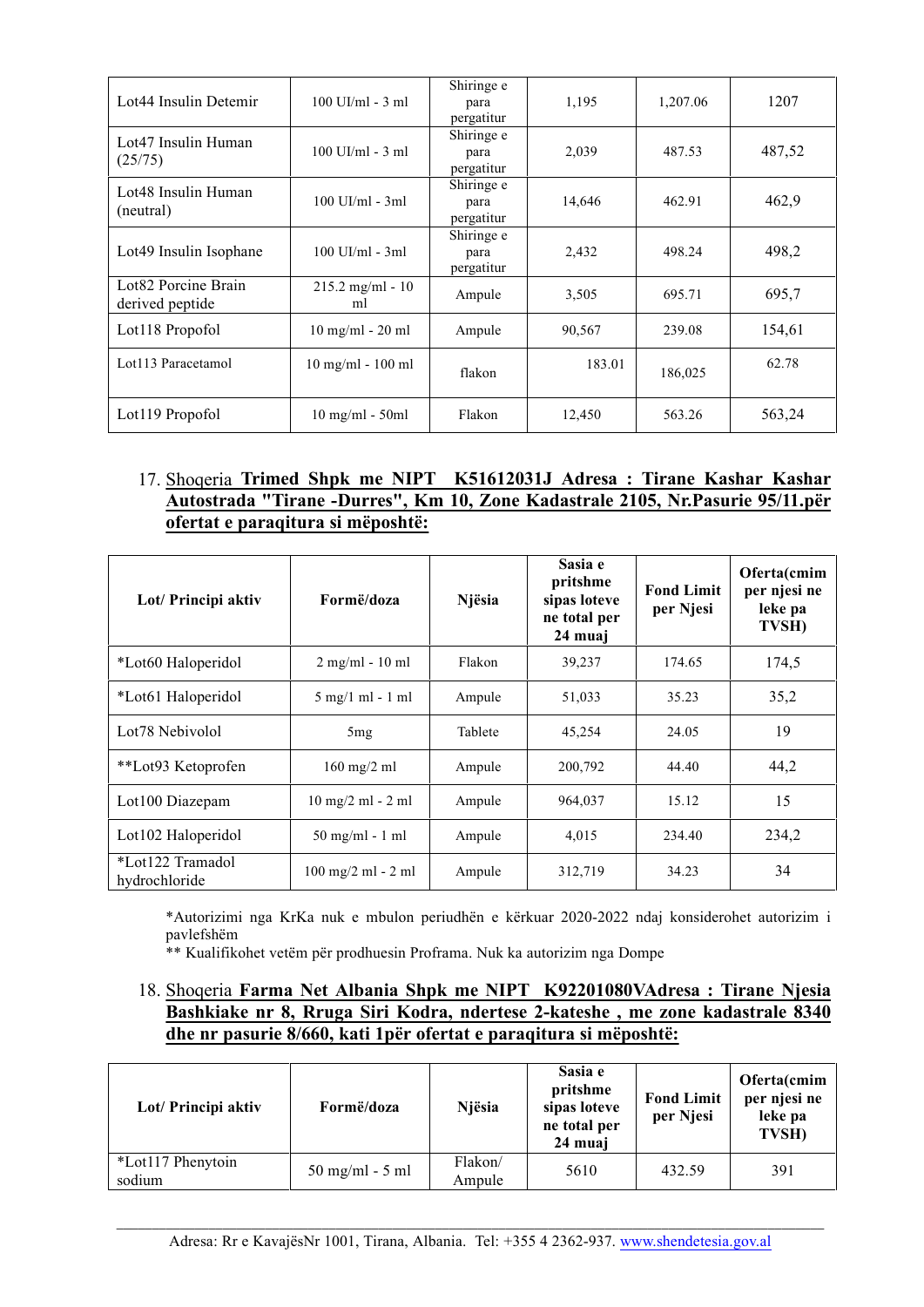| Lot <sub>44</sub> Insulin Detemir      | $100$ UI/ml - 3 ml                | Shiringe e<br>para<br>pergatitur | 1,195  | 1,207.06 | 1207   |
|----------------------------------------|-----------------------------------|----------------------------------|--------|----------|--------|
| Lot47 Insulin Human<br>(25/75)         | $100$ UI/ml - $3$ ml              | Shiringe e<br>para<br>pergatitur | 2,039  | 487.53   | 487,52 |
| Lot48 Insulin Human<br>(neutral)       | $100$ UI/ml - $3ml$               | Shiringe e<br>para<br>pergatitur | 14,646 | 462.91   | 462,9  |
| Lot <sup>49</sup> Insulin Isophane     | $100$ UI/ml - $3ml$               | Shiringe e<br>para<br>pergatitur | 2,432  | 498.24   | 498,2  |
| Lot82 Porcine Brain<br>derived peptide | $215.2 \text{ mg/ml} - 10$<br>ml  | Ampule                           | 3,505  | 695.71   | 695.7  |
| Lot118 Propofol                        | $10$ mg/ml - $20$ ml              | Ampule                           | 90,567 | 239.08   | 154,61 |
| Lot113 Paracetamol                     | $10$ mg/ml - $100$ ml             | flakon                           | 183.01 | 186,025  | 62.78  |
| Lot119 Propofol                        | $10 \text{ mg/ml} - 50 \text{ml}$ | Flakon                           | 12,450 | 563.26   | 563,24 |

#### 17. Shoqeria **Trimed Shpk me NIPT K51612031J Adresa : Tirane Kashar Kashar Autostrada "Tirane -Durres", Km 10, Zone Kadastrale 2105, Nr.Pasurie 95/11.për ofertat e paraqitura si mëposhtë:**

| Lot/ Principi aktiv               | Formë/doza                                   | Njësia  | Sasia e<br>pritshme<br>sipas loteve<br>ne total per<br>24 muaj | <b>Fond Limit</b><br>per Njesi | Oferta(cmim<br>per njesi ne<br>leke pa<br><b>TVSH)</b> |
|-----------------------------------|----------------------------------------------|---------|----------------------------------------------------------------|--------------------------------|--------------------------------------------------------|
| *Lot60 Haloperidol                | $2 \text{ mg/ml} - 10 \text{ ml}$            | Flakon  | 39,237                                                         | 174.65                         | 174,5                                                  |
| *Lot <sub>61</sub> Haloperidol    | $5 \text{ mg}/1 \text{ ml} - 1 \text{ ml}$   | Ampule  | 51,033                                                         | 35.23                          | 35,2                                                   |
| Lot <sub>78</sub> Nebivolol       | 5mg                                          | Tablete | 45,254                                                         | 24.05                          | 19                                                     |
| **Lot93 Ketoprofen                | $160 \text{ mg}/2 \text{ ml}$                | Ampule  | 200,792                                                        | 44.40                          | 44,2                                                   |
| Lot100 Diazepam                   | $10 \text{ mg}/2 \text{ ml} - 2 \text{ ml}$  | Ampule  | 964,037                                                        | 15.12                          | 15                                                     |
| Lot102 Haloperidol                | $50 \text{ mg/ml} - 1 \text{ ml}$            | Ampule  | 4,015                                                          | 234.40                         | 234,2                                                  |
| *Lot122 Tramadol<br>hydrochloride | $100 \text{ mg}/2 \text{ ml} - 2 \text{ ml}$ | Ampule  | 312,719                                                        | 34.23                          | 34                                                     |

\*Autorizimi nga KrKa nuk e mbulon periudhën e kërkuar 2020-2022 ndaj konsiderohet autorizim i pavlefshëm

\*\* Kualifikohet vetëm për prodhuesin Proframa. Nuk ka autorizim nga Dompe

#### 18. Shoqeria **Farma Net Albania Shpk me NIPT K92201080VAdresa : Tirane Njesia Bashkiake nr 8, Rruga Siri Kodra, ndertese 2-kateshe , me zone kadastrale 8340 dhe nr pasurie 8/660, kati 1për ofertat e paraqitura si mëposhtë:**

| Lot/ Principi aktiv         | Formë/doza                        | Njësia            | Sasia e<br>pritshme<br>sipas loteve<br>ne total per<br>24 muai | <b>Fond Limit</b><br>per Njesi | Oferta(cmim<br>per njesi ne<br>leke pa<br>TVSH) |
|-----------------------------|-----------------------------------|-------------------|----------------------------------------------------------------|--------------------------------|-------------------------------------------------|
| *Lot117 Phenytoin<br>sodium | $50 \text{ mg/ml} - 5 \text{ ml}$ | Flakon/<br>Ampule | 5610                                                           | 432.59                         | 391                                             |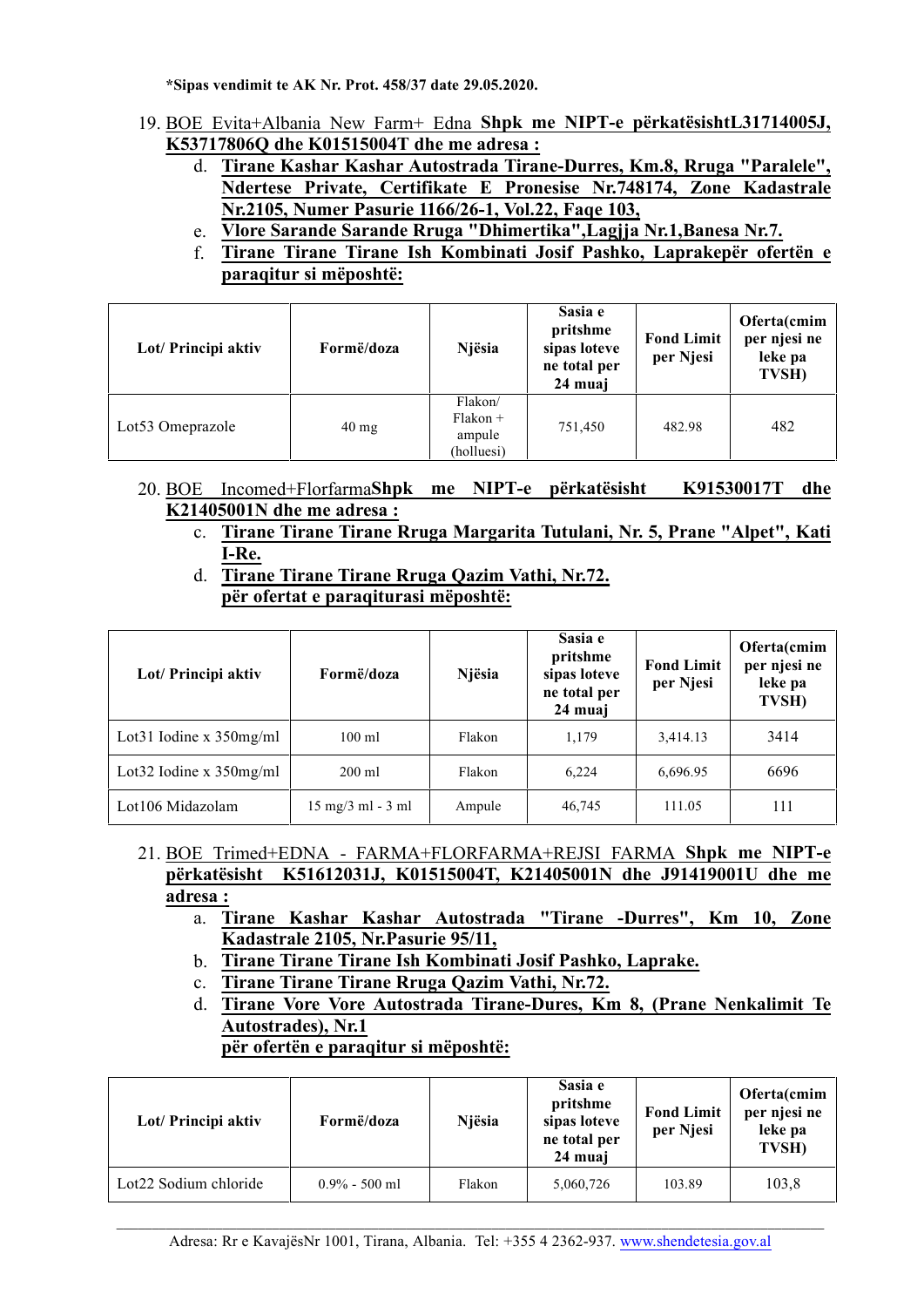**\*Sipas vendimit te AK Nr. Prot. 458/37 date 29.05.2020.**

- 19. BOE Evita+Albania New Farm+ Edna **Shpk me NIPT-e përkatësishtL31714005J, K53717806Q dhe K01515004T dhe me adresa :**
	- d. **Tirane Kashar Kashar Autostrada Tirane-Durres, Km.8, Rruga "Paralele", Ndertese Private, Certifikate E Pronesise Nr.748174, Zone Kadastrale Nr.2105, Numer Pasurie 1166/26-1, Vol.22, Faqe 103,**
	- e. **Vlore Sarande Sarande Rruga "Dhimertika",Lagjja Nr.1,Banesa Nr.7.**
	- f. **Tirane Tirane Tirane Ish Kombinati Josif Pashko, Laprakepër ofertën e paraqitur si mëposhtë:**

| Lot/ Principi aktiv          | Formë/doza      | Njësia                                        | Sasia e<br>pritshme<br>sipas loteve<br>ne total per<br>24 muaj | <b>Fond Limit</b><br>per Njesi | Oferta(cmim<br>per njesi ne<br>leke pa<br>TVSH) |
|------------------------------|-----------------|-----------------------------------------------|----------------------------------------------------------------|--------------------------------|-------------------------------------------------|
| Lot <sub>53</sub> Omeprazole | $40 \text{ mg}$ | Flakon/<br>$Flakon +$<br>ampule<br>(holluesi) | 751,450                                                        | 482.98                         | 482                                             |

- 20. BOE Incomed+Florfarma**Shpk me NIPT-e përkatësisht K91530017T dhe K21405001N dhe me adresa :**
	- c. **Tirane Tirane Tirane Rruga Margarita Tutulani, Nr. 5, Prane "Alpet", Kati I-Re.**
	- d. **Tirane Tirane Tirane Rruga Qazim Vathi, Nr.72. për ofertat e paraqiturasi mëposhtë:**

| Lot/ Principi aktiv         | Formë/doza                                  | Njësia | Sasia e<br>pritshme<br>sipas loteve<br>ne total per<br>24 muaj | <b>Fond Limit</b><br>per Njesi | Oferta(cmim<br>per njesi ne<br>leke pa<br>TVSH) |
|-----------------------------|---------------------------------------------|--------|----------------------------------------------------------------|--------------------------------|-------------------------------------------------|
| Lot31 Iodine $x$ 350mg/ml   | $100$ ml                                    | Flakon | 1,179                                                          | 3,414.13                       | 3414                                            |
| Lot 32 Iodine x $350$ mg/ml | $200 \text{ ml}$                            | Flakon | 6,224                                                          | 6,696.95                       | 6696                                            |
| Lot106 Midazolam            | $15 \text{ mg}/3 \text{ ml} - 3 \text{ ml}$ | Ampule | 46,745                                                         | 111.05                         | 111                                             |

- 21. BOE Trimed+EDNA FARMA+FLORFARMA+REJSI FARMA **Shpk me NIPT-e përkatësisht K51612031J, K01515004T, K21405001N dhe J91419001U dhe me adresa :**
	- a. **Tirane Kashar Kashar Autostrada "Tirane -Durres", Km 10, Zone Kadastrale 2105, Nr.Pasurie 95/11,**
	- b. **Tirane Tirane Tirane Ish Kombinati Josif Pashko, Laprake.**
	- c. **Tirane Tirane Tirane Rruga Qazim Vathi, Nr.72.**
	- d. **Tirane Vore Vore Autostrada Tirane-Dures, Km 8, (Prane Nenkalimit Te Autostrades), Nr.1**

| Lot/ Principi aktiv   | Formë/doza       | Niësia | Sasia e<br>pritshme<br>sipas loteve<br>ne total per<br>24 muaj | <b>Fond Limit</b><br>per Njesi | Oferta(cmim<br>per njesi ne<br>leke pa<br><b>TVSH)</b> |
|-----------------------|------------------|--------|----------------------------------------------------------------|--------------------------------|--------------------------------------------------------|
| Lot22 Sodium chloride | $0.9\% - 500$ ml | Flakon | 5,060,726                                                      | 103.89                         | 103.8                                                  |